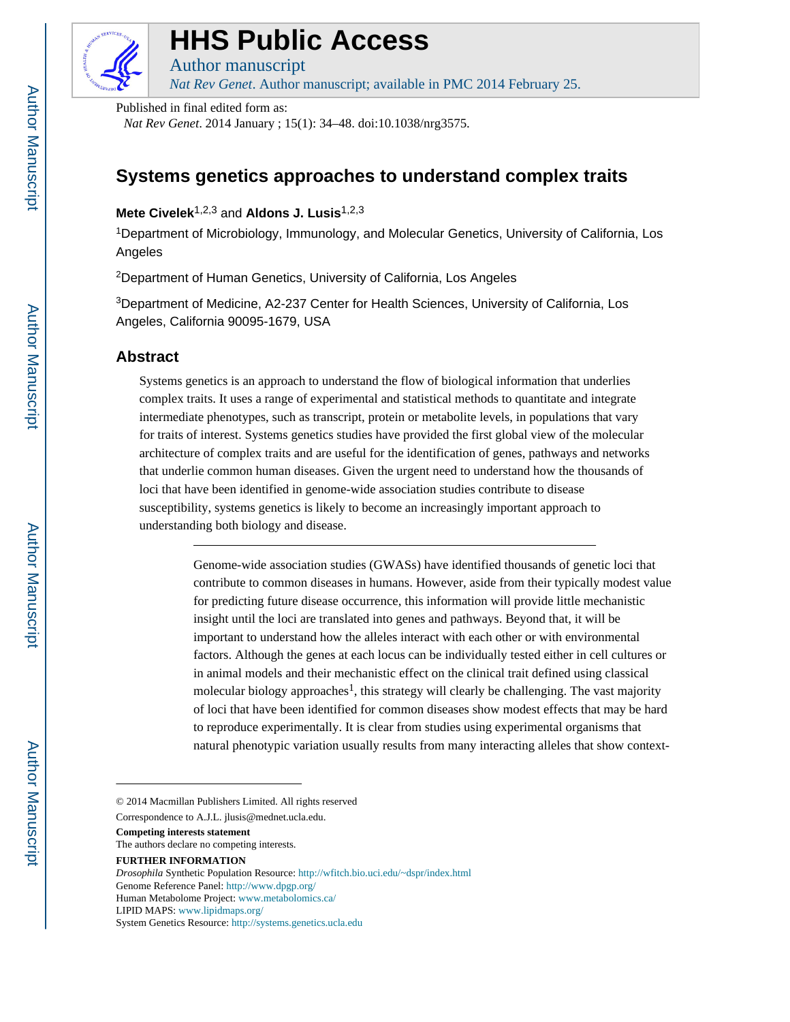

# **HHS Public Access**

Author manuscript *Nat Rev Genet*. Author manuscript; available in PMC 2014 February 25.

Published in final edited form as:

*Nat Rev Genet*. 2014 January ; 15(1): 34–48. doi:10.1038/nrg3575.

# **Systems genetics approaches to understand complex traits**

**Mete Civelek**1,2,3 and **Aldons J. Lusis**1,2,3

<sup>1</sup>Department of Microbiology, Immunology, and Molecular Genetics, University of California, Los Angeles

<sup>2</sup>Department of Human Genetics, University of California, Los Angeles

<sup>3</sup>Department of Medicine, A2-237 Center for Health Sciences, University of California, Los Angeles, California 90095-1679, USA

# **Abstract**

Systems genetics is an approach to understand the flow of biological information that underlies complex traits. It uses a range of experimental and statistical methods to quantitate and integrate intermediate phenotypes, such as transcript, protein or metabolite levels, in populations that vary for traits of interest. Systems genetics studies have provided the first global view of the molecular architecture of complex traits and are useful for the identification of genes, pathways and networks that underlie common human diseases. Given the urgent need to understand how the thousands of loci that have been identified in genome-wide association studies contribute to disease susceptibility, systems genetics is likely to become an increasingly important approach to understanding both biology and disease.

> Genome-wide association studies (GWASs) have identified thousands of genetic loci that contribute to common diseases in humans. However, aside from their typically modest value for predicting future disease occurrence, this information will provide little mechanistic insight until the loci are translated into genes and pathways. Beyond that, it will be important to understand how the alleles interact with each other or with environmental factors. Although the genes at each locus can be individually tested either in cell cultures or in animal models and their mechanistic effect on the clinical trait defined using classical molecular biology approaches<sup>1</sup>, this strategy will clearly be challenging. The vast majority of loci that have been identified for common diseases show modest effects that may be hard to reproduce experimentally. It is clear from studies using experimental organisms that natural phenotypic variation usually results from many interacting alleles that show context-

**Competing interests statement**

<sup>© 2014</sup> Macmillan Publishers Limited. All rights reserved

Correspondence to A.J.L. jlusis@mednet.ucla.edu.

The authors declare no competing interests.

**FURTHER INFORMATION**

*Drosophila* Synthetic Population Resource:<http://wfitch.bio.uci.edu/~dspr/index.html> Genome Reference Panel: <http://www.dpgp.org/> Human Metabolome Project: [www.metabolomics.ca/](http://www.metabolomics.ca/) LIPID MAPS: [www.lipidmaps.org/](http://www.lipidmaps.org/) System Genetics Resource: <http://systems.genetics.ucla.edu>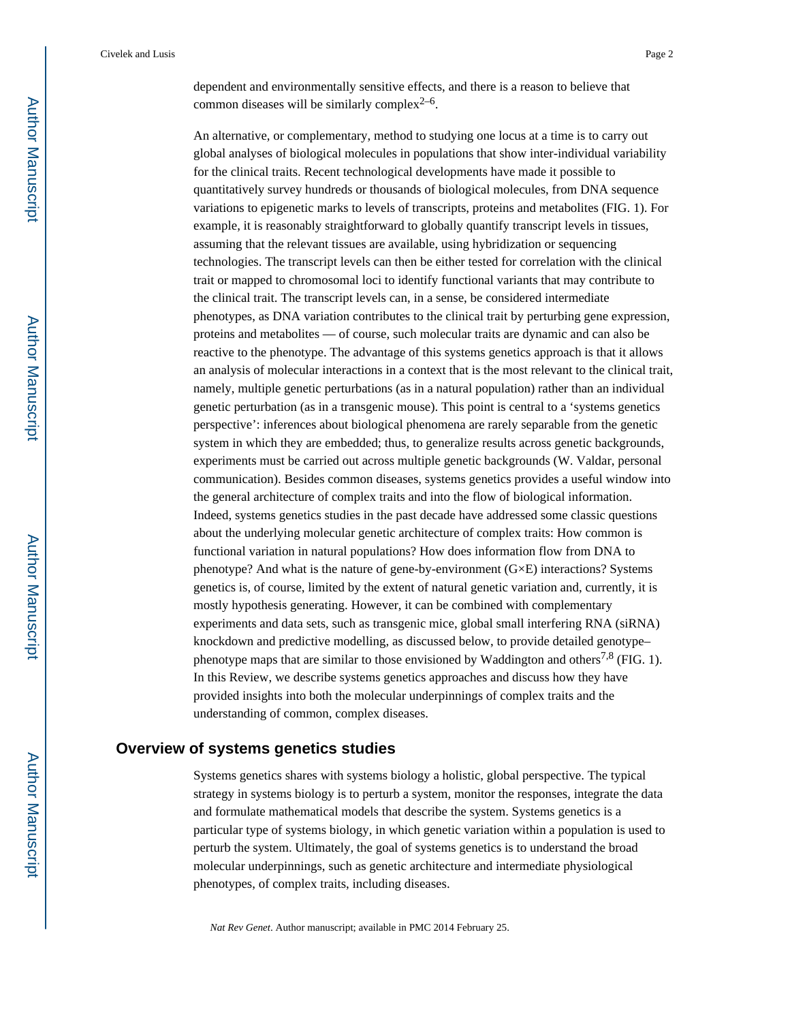dependent and environmentally sensitive effects, and there is a reason to believe that common diseases will be similarly complex $2-6$ .

An alternative, or complementary, method to studying one locus at a time is to carry out global analyses of biological molecules in populations that show inter-individual variability for the clinical traits. Recent technological developments have made it possible to quantitatively survey hundreds or thousands of biological molecules, from DNA sequence variations to epigenetic marks to levels of transcripts, proteins and metabolites (FIG. 1). For example, it is reasonably straightforward to globally quantify transcript levels in tissues, assuming that the relevant tissues are available, using hybridization or sequencing technologies. The transcript levels can then be either tested for correlation with the clinical trait or mapped to chromosomal loci to identify functional variants that may contribute to the clinical trait. The transcript levels can, in a sense, be considered intermediate phenotypes, as DNA variation contributes to the clinical trait by perturbing gene expression, proteins and metabolites — of course, such molecular traits are dynamic and can also be reactive to the phenotype. The advantage of this systems genetics approach is that it allows an analysis of molecular interactions in a context that is the most relevant to the clinical trait, namely, multiple genetic perturbations (as in a natural population) rather than an individual genetic perturbation (as in a transgenic mouse). This point is central to a 'systems genetics perspective': inferences about biological phenomena are rarely separable from the genetic system in which they are embedded; thus, to generalize results across genetic backgrounds, experiments must be carried out across multiple genetic backgrounds (W. Valdar, personal communication). Besides common diseases, systems genetics provides a useful window into the general architecture of complex traits and into the flow of biological information. Indeed, systems genetics studies in the past decade have addressed some classic questions about the underlying molecular genetic architecture of complex traits: How common is functional variation in natural populations? How does information flow from DNA to phenotype? And what is the nature of gene-by-environment (G×E) interactions? Systems genetics is, of course, limited by the extent of natural genetic variation and, currently, it is mostly hypothesis generating. However, it can be combined with complementary experiments and data sets, such as transgenic mice, global small interfering RNA (siRNA) knockdown and predictive modelling, as discussed below, to provide detailed genotype– phenotype maps that are similar to those envisioned by Waddington and others<sup>7,8</sup> (FIG. 1). In this Review, we describe systems genetics approaches and discuss how they have provided insights into both the molecular underpinnings of complex traits and the understanding of common, complex diseases.

# **Overview of systems genetics studies**

Systems genetics shares with systems biology a holistic, global perspective. The typical strategy in systems biology is to perturb a system, monitor the responses, integrate the data and formulate mathematical models that describe the system. Systems genetics is a particular type of systems biology, in which genetic variation within a population is used to perturb the system. Ultimately, the goal of systems genetics is to understand the broad molecular underpinnings, such as genetic architecture and intermediate physiological phenotypes, of complex traits, including diseases.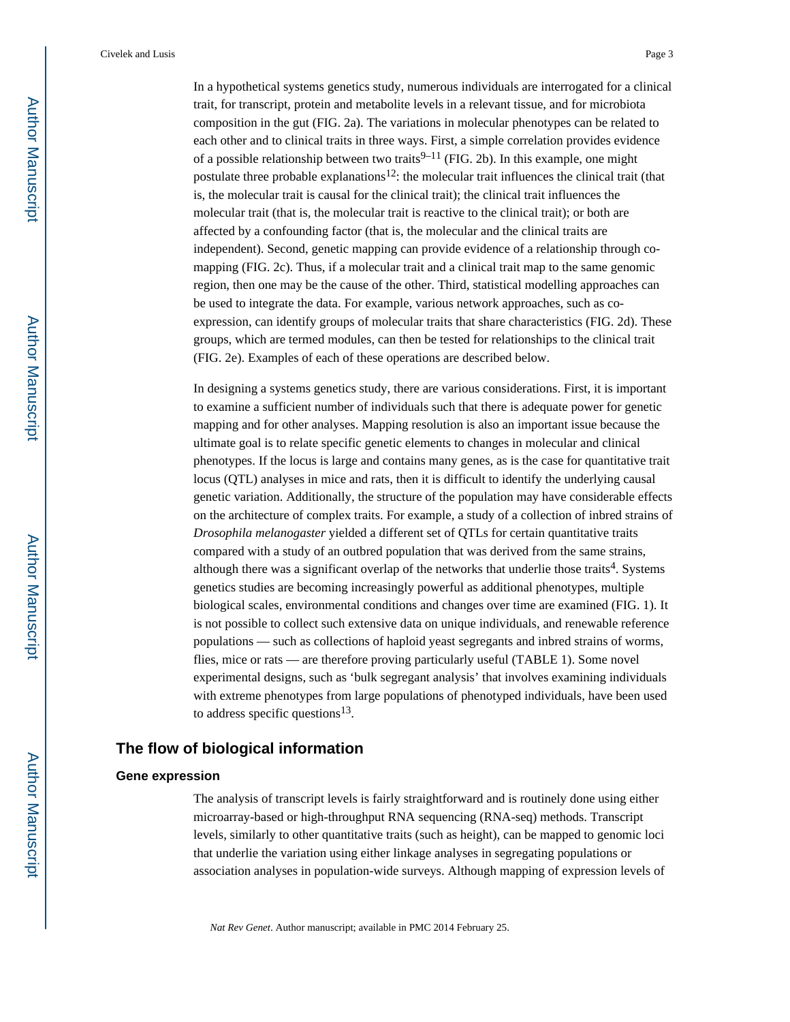In a hypothetical systems genetics study, numerous individuals are interrogated for a clinical trait, for transcript, protein and metabolite levels in a relevant tissue, and for microbiota composition in the gut (FIG. 2a). The variations in molecular phenotypes can be related to each other and to clinical traits in three ways. First, a simple correlation provides evidence of a possible relationship between two traits<sup>9–11</sup> (FIG. 2b). In this example, one might postulate three probable explanations<sup>12</sup>: the molecular trait influences the clinical trait (that is, the molecular trait is causal for the clinical trait); the clinical trait influences the molecular trait (that is, the molecular trait is reactive to the clinical trait); or both are affected by a confounding factor (that is, the molecular and the clinical traits are independent). Second, genetic mapping can provide evidence of a relationship through comapping (FIG. 2c). Thus, if a molecular trait and a clinical trait map to the same genomic region, then one may be the cause of the other. Third, statistical modelling approaches can be used to integrate the data. For example, various network approaches, such as coexpression, can identify groups of molecular traits that share characteristics (FIG. 2d). These groups, which are termed modules, can then be tested for relationships to the clinical trait (FIG. 2e). Examples of each of these operations are described below.

In designing a systems genetics study, there are various considerations. First, it is important to examine a sufficient number of individuals such that there is adequate power for genetic mapping and for other analyses. Mapping resolution is also an important issue because the ultimate goal is to relate specific genetic elements to changes in molecular and clinical phenotypes. If the locus is large and contains many genes, as is the case for quantitative trait locus (QTL) analyses in mice and rats, then it is difficult to identify the underlying causal genetic variation. Additionally, the structure of the population may have considerable effects on the architecture of complex traits. For example, a study of a collection of inbred strains of *Drosophila melanogaster* yielded a different set of QTLs for certain quantitative traits compared with a study of an outbred population that was derived from the same strains, although there was a significant overlap of the networks that underlie those traits<sup>4</sup>. Systems genetics studies are becoming increasingly powerful as additional phenotypes, multiple biological scales, environmental conditions and changes over time are examined (FIG. 1). It is not possible to collect such extensive data on unique individuals, and renewable reference populations — such as collections of haploid yeast segregants and inbred strains of worms, flies, mice or rats — are therefore proving particularly useful (TABLE 1). Some novel experimental designs, such as 'bulk segregant analysis' that involves examining individuals with extreme phenotypes from large populations of phenotyped individuals, have been used to address specific questions<sup>13</sup>.

# **The flow of biological information**

#### **Gene expression**

The analysis of transcript levels is fairly straightforward and is routinely done using either microarray-based or high-throughput RNA sequencing (RNA-seq) methods. Transcript levels, similarly to other quantitative traits (such as height), can be mapped to genomic loci that underlie the variation using either linkage analyses in segregating populations or association analyses in population-wide surveys. Although mapping of expression levels of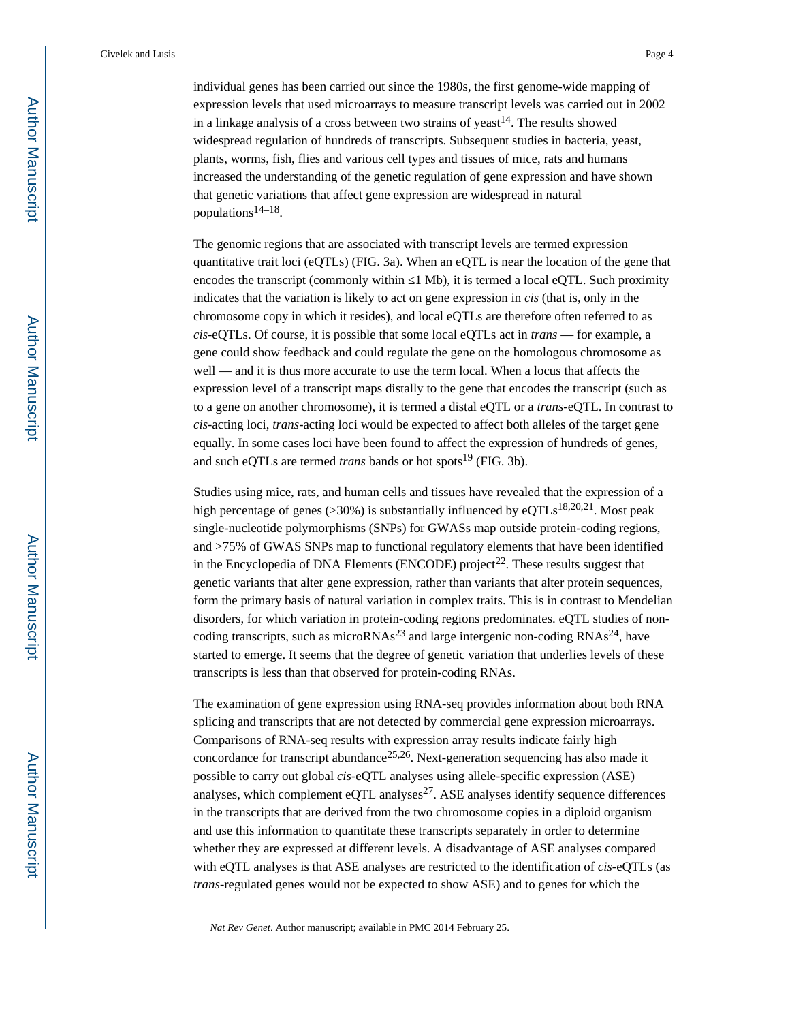individual genes has been carried out since the 1980s, the first genome-wide mapping of expression levels that used microarrays to measure transcript levels was carried out in 2002 in a linkage analysis of a cross between two strains of yeast<sup>14</sup>. The results showed widespread regulation of hundreds of transcripts. Subsequent studies in bacteria, yeast, plants, worms, fish, flies and various cell types and tissues of mice, rats and humans increased the understanding of the genetic regulation of gene expression and have shown that genetic variations that affect gene expression are widespread in natural populations<sup>14–18</sup>.

The genomic regions that are associated with transcript levels are termed expression quantitative trait loci (eQTLs) (FIG. 3a). When an eQTL is near the location of the gene that encodes the transcript (commonly within  $1 \text{ Mb}$ ), it is termed a local eQTL. Such proximity indicates that the variation is likely to act on gene expression in *cis* (that is, only in the chromosome copy in which it resides), and local eQTLs are therefore often referred to as *cis*-eQTLs. Of course, it is possible that some local eQTLs act in *trans* — for example, a gene could show feedback and could regulate the gene on the homologous chromosome as well — and it is thus more accurate to use the term local. When a locus that affects the expression level of a transcript maps distally to the gene that encodes the transcript (such as to a gene on another chromosome), it is termed a distal eQTL or a *trans*-eQTL. In contrast to *cis*-acting loci, *trans*-acting loci would be expected to affect both alleles of the target gene equally. In some cases loci have been found to affect the expression of hundreds of genes, and such eQTLs are termed *trans* bands or hot spots<sup>19</sup> (FIG. 3b).

Studies using mice, rats, and human cells and tissues have revealed that the expression of a high percentage of genes ( $30\%$ ) is substantially influenced by eQTLs<sup>18,20,21</sup>. Most peak single-nucleotide polymorphisms (SNPs) for GWASs map outside protein-coding regions, and >75% of GWAS SNPs map to functional regulatory elements that have been identified in the Encyclopedia of DNA Elements (ENCODE) project<sup>22</sup>. These results suggest that genetic variants that alter gene expression, rather than variants that alter protein sequences, form the primary basis of natural variation in complex traits. This is in contrast to Mendelian disorders, for which variation in protein-coding regions predominates. eQTL studies of noncoding transcripts, such as microRNAs<sup>23</sup> and large intergenic non-coding RNAs<sup>24</sup>, have started to emerge. It seems that the degree of genetic variation that underlies levels of these transcripts is less than that observed for protein-coding RNAs.

The examination of gene expression using RNA-seq provides information about both RNA splicing and transcripts that are not detected by commercial gene expression microarrays. Comparisons of RNA-seq results with expression array results indicate fairly high concordance for transcript abundance<sup>25,26</sup>. Next-generation sequencing has also made it possible to carry out global *cis*-eQTL analyses using allele-specific expression (ASE) analyses, which complement eQTL analyses<sup>27</sup>. ASE analyses identify sequence differences in the transcripts that are derived from the two chromosome copies in a diploid organism and use this information to quantitate these transcripts separately in order to determine whether they are expressed at different levels. A disadvantage of ASE analyses compared with eQTL analyses is that ASE analyses are restricted to the identification of *cis*-eQTLs (as *trans*-regulated genes would not be expected to show ASE) and to genes for which the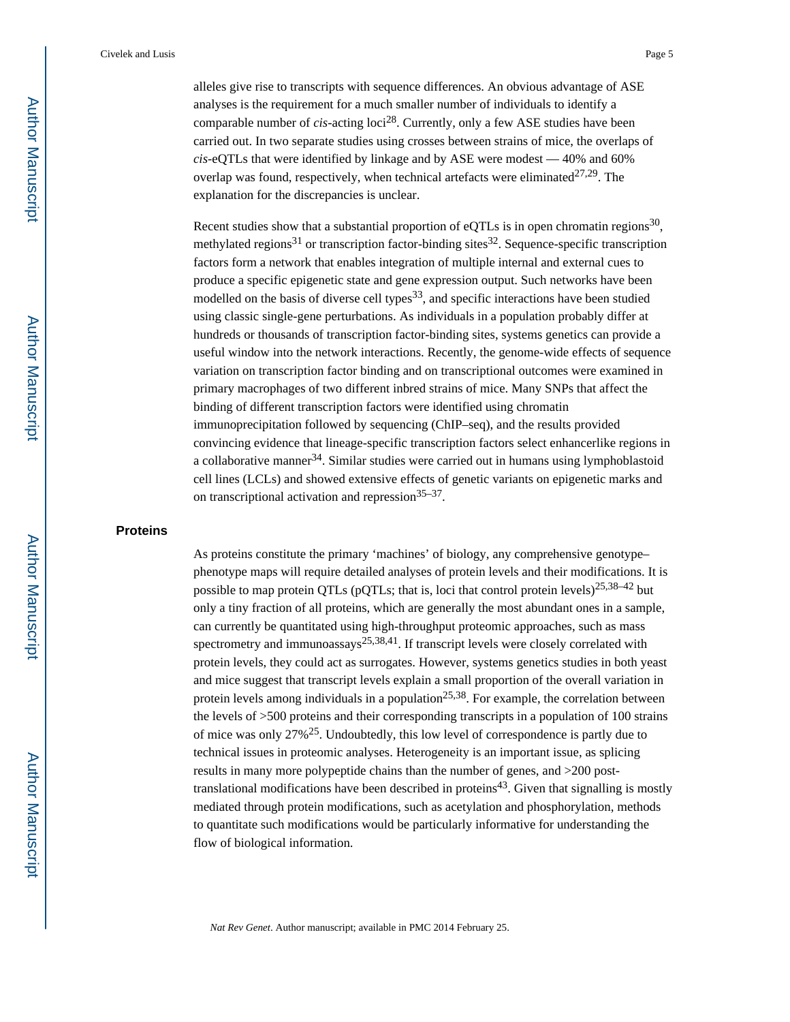alleles give rise to transcripts with sequence differences. An obvious advantage of ASE analyses is the requirement for a much smaller number of individuals to identify a comparable number of *cis*-acting loci<sup>28</sup>. Currently, only a few ASE studies have been carried out. In two separate studies using crosses between strains of mice, the overlaps of *cis*-eQTLs that were identified by linkage and by ASE were modest — 40% and 60% overlap was found, respectively, when technical artefacts were eliminated $^{27,29}$ . The explanation for the discrepancies is unclear.

Recent studies show that a substantial proportion of eQTLs is in open chromatin regions<sup>30</sup>, methylated regions<sup>31</sup> or transcription factor-binding sites<sup>32</sup>. Sequence-specific transcription factors form a network that enables integration of multiple internal and external cues to produce a specific epigenetic state and gene expression output. Such networks have been modelled on the basis of diverse cell types $33$ , and specific interactions have been studied using classic single-gene perturbations. As individuals in a population probably differ at hundreds or thousands of transcription factor-binding sites, systems genetics can provide a useful window into the network interactions. Recently, the genome-wide effects of sequence variation on transcription factor binding and on transcriptional outcomes were examined in primary macrophages of two different inbred strains of mice. Many SNPs that affect the binding of different transcription factors were identified using chromatin immunoprecipitation followed by sequencing (ChIP–seq), and the results provided convincing evidence that lineage-specific transcription factors select enhancerlike regions in a collaborative manner $34$ . Similar studies were carried out in humans using lymphoblastoid cell lines (LCLs) and showed extensive effects of genetic variants on epigenetic marks and on transcriptional activation and repression<sup>35–37</sup>.

#### **Proteins**

As proteins constitute the primary 'machines' of biology, any comprehensive genotype– phenotype maps will require detailed analyses of protein levels and their modifications. It is possible to map protein QTLs (pQTLs; that is, loci that control protein levels)<sup>25,38–42</sup> but only a tiny fraction of all proteins, which are generally the most abundant ones in a sample, can currently be quantitated using high-throughput proteomic approaches, such as mass spectrometry and immunoassays<sup>25,38,41</sup>. If transcript levels were closely correlated with protein levels, they could act as surrogates. However, systems genetics studies in both yeast and mice suggest that transcript levels explain a small proportion of the overall variation in protein levels among individuals in a population<sup>25,38</sup>. For example, the correlation between the levels of >500 proteins and their corresponding transcripts in a population of 100 strains of mice was only  $27\%^{25}$ . Undoubtedly, this low level of correspondence is partly due to technical issues in proteomic analyses. Heterogeneity is an important issue, as splicing results in many more polypeptide chains than the number of genes, and >200 posttranslational modifications have been described in proteins<sup>43</sup>. Given that signalling is mostly mediated through protein modifications, such as acetylation and phosphorylation, methods to quantitate such modifications would be particularly informative for understanding the flow of biological information.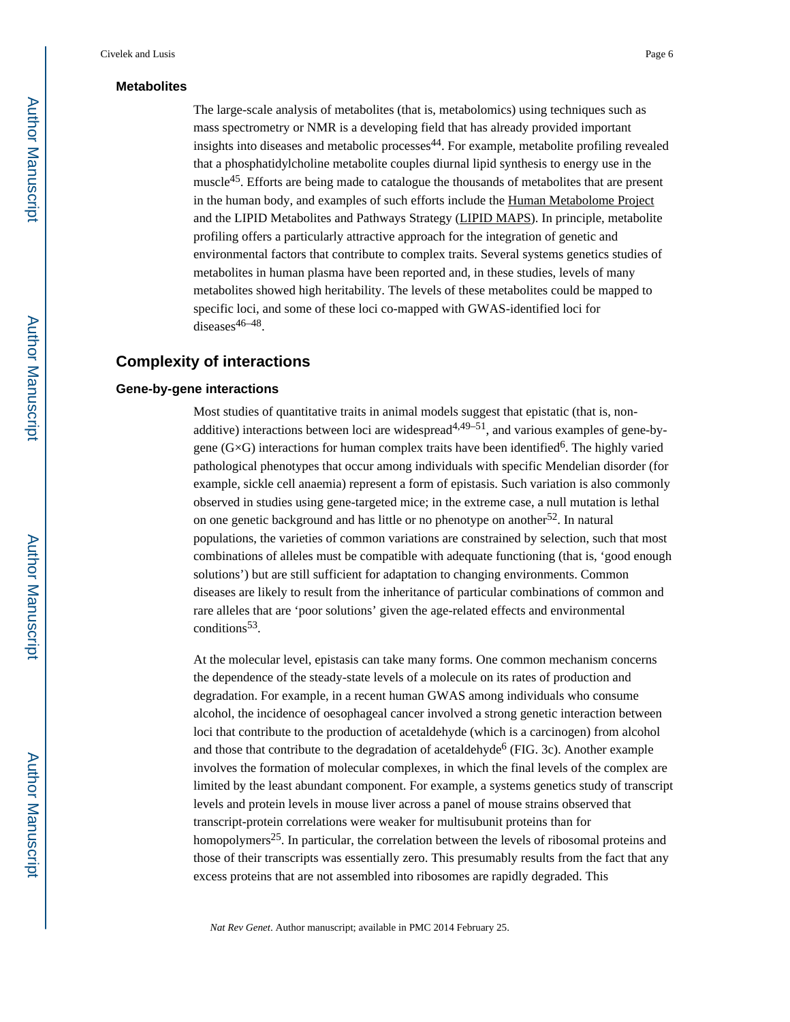#### **Metabolites**

The large-scale analysis of metabolites (that is, metabolomics) using techniques such as mass spectrometry or NMR is a developing field that has already provided important insights into diseases and metabolic processes $44$ . For example, metabolite profiling revealed that a phosphatidylcholine metabolite couples diurnal lipid synthesis to energy use in the muscle<sup>45</sup>. Efforts are being made to catalogue the thousands of metabolites that are present in the human body, and examples of such efforts include the Human Metabolome Project and the LIPID Metabolites and Pathways Strategy (LIPID MAPS). In principle, metabolite profiling offers a particularly attractive approach for the integration of genetic and environmental factors that contribute to complex traits. Several systems genetics studies of metabolites in human plasma have been reported and, in these studies, levels of many metabolites showed high heritability. The levels of these metabolites could be mapped to specific loci, and some of these loci co-mapped with GWAS-identified loci for diseases $46-48$ .

# **Complexity of interactions**

#### **Gene-by-gene interactions**

Most studies of quantitative traits in animal models suggest that epistatic (that is, nonadditive) interactions between loci are widespread<sup>4,49–51</sup>, and various examples of gene-bygene  $(G\times G)$  interactions for human complex traits have been identified<sup>6</sup>. The highly varied pathological phenotypes that occur among individuals with specific Mendelian disorder (for example, sickle cell anaemia) represent a form of epistasis. Such variation is also commonly observed in studies using gene-targeted mice; in the extreme case, a null mutation is lethal on one genetic background and has little or no phenotype on another  $52$ . In natural populations, the varieties of common variations are constrained by selection, such that most combinations of alleles must be compatible with adequate functioning (that is, 'good enough solutions') but are still sufficient for adaptation to changing environments. Common diseases are likely to result from the inheritance of particular combinations of common and rare alleles that are 'poor solutions' given the age-related effects and environmental conditions<sup>53</sup>.

At the molecular level, epistasis can take many forms. One common mechanism concerns the dependence of the steady-state levels of a molecule on its rates of production and degradation. For example, in a recent human GWAS among individuals who consume alcohol, the incidence of oesophageal cancer involved a strong genetic interaction between loci that contribute to the production of acetaldehyde (which is a carcinogen) from alcohol and those that contribute to the degradation of acetaldehyde<sup>6</sup> (FIG. 3c). Another example involves the formation of molecular complexes, in which the final levels of the complex are limited by the least abundant component. For example, a systems genetics study of transcript levels and protein levels in mouse liver across a panel of mouse strains observed that transcript-protein correlations were weaker for multisubunit proteins than for homopolymers<sup>25</sup>. In particular, the correlation between the levels of ribosomal proteins and those of their transcripts was essentially zero. This presumably results from the fact that any excess proteins that are not assembled into ribosomes are rapidly degraded. This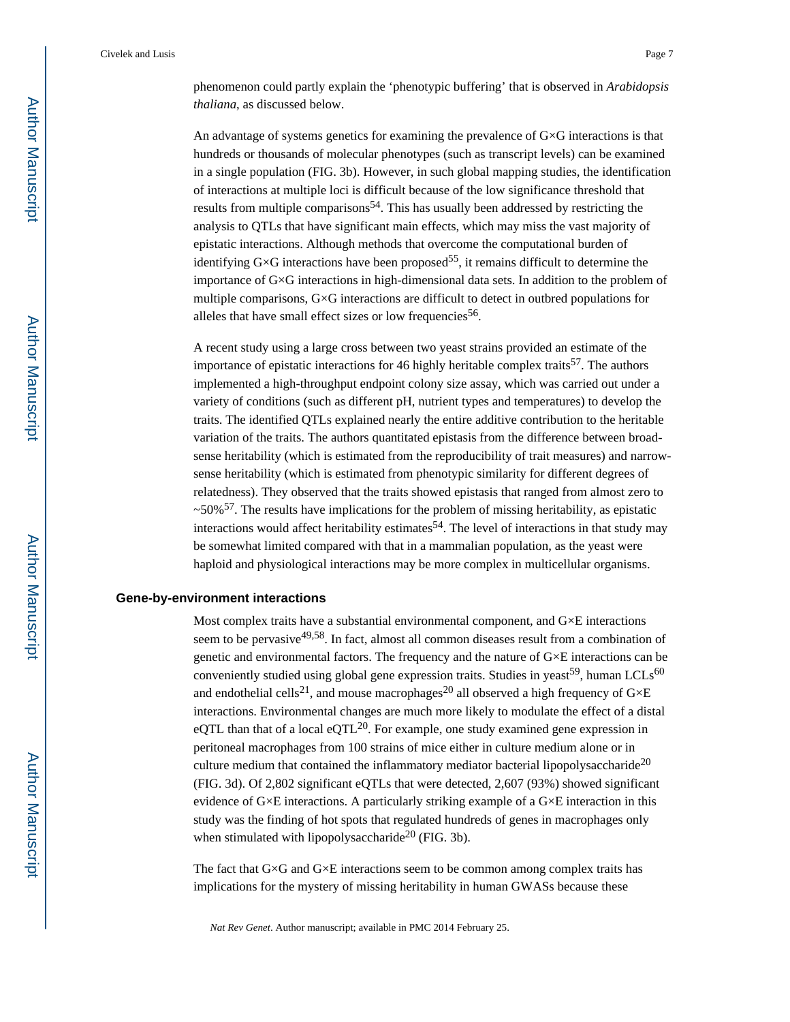phenomenon could partly explain the 'phenotypic buffering' that is observed in *Arabidopsis thaliana*, as discussed below.

An advantage of systems genetics for examining the prevalence of G×G interactions is that hundreds or thousands of molecular phenotypes (such as transcript levels) can be examined in a single population (FIG. 3b). However, in such global mapping studies, the identification of interactions at multiple loci is difficult because of the low significance threshold that results from multiple comparisons<sup>54</sup>. This has usually been addressed by restricting the analysis to QTLs that have significant main effects, which may miss the vast majority of epistatic interactions. Although methods that overcome the computational burden of identifying  $G \times G$  interactions have been proposed<sup>55</sup>, it remains difficult to determine the importance of G×G interactions in high-dimensional data sets. In addition to the problem of multiple comparisons, G×G interactions are difficult to detect in outbred populations for alleles that have small effect sizes or low frequencies<sup>56</sup>.

A recent study using a large cross between two yeast strains provided an estimate of the importance of epistatic interactions for 46 highly heritable complex traits<sup>57</sup>. The authors implemented a high-throughput endpoint colony size assay, which was carried out under a variety of conditions (such as different pH, nutrient types and temperatures) to develop the traits. The identified QTLs explained nearly the entire additive contribution to the heritable variation of the traits. The authors quantitated epistasis from the difference between broadsense heritability (which is estimated from the reproducibility of trait measures) and narrowsense heritability (which is estimated from phenotypic similarity for different degrees of relatedness). They observed that the traits showed epistasis that ranged from almost zero to  $\approx$  50%<sup>57</sup>. The results have implications for the problem of missing heritability, as epistatic interactions would affect heritability estimates<sup>54</sup>. The level of interactions in that study may be somewhat limited compared with that in a mammalian population, as the yeast were haploid and physiological interactions may be more complex in multicellular organisms.

#### **Gene-by-environment interactions**

Most complex traits have a substantial environmental component, and  $G \times E$  interactions seem to be pervasive<sup>49,58</sup>. In fact, almost all common diseases result from a combination of genetic and environmental factors. The frequency and the nature of G×E interactions can be conveniently studied using global gene expression traits. Studies in yeast<sup>59</sup>, human LCLs<sup>60</sup> and endothelial cells<sup>21</sup>, and mouse macrophages<sup>20</sup> all observed a high frequency of  $G \times E$ interactions. Environmental changes are much more likely to modulate the effect of a distal eQTL than that of a local eQTL<sup>20</sup>. For example, one study examined gene expression in peritoneal macrophages from 100 strains of mice either in culture medium alone or in culture medium that contained the inflammatory mediator bacterial lipopolysaccharide<sup>20</sup> (FIG. 3d). Of 2,802 significant eQTLs that were detected, 2,607 (93%) showed significant evidence of G×E interactions. A particularly striking example of a G×E interaction in this study was the finding of hot spots that regulated hundreds of genes in macrophages only when stimulated with lipopolysaccharide<sup>20</sup> (FIG. 3b).

The fact that  $G\times G$  and  $G\times E$  interactions seem to be common among complex traits has implications for the mystery of missing heritability in human GWASs because these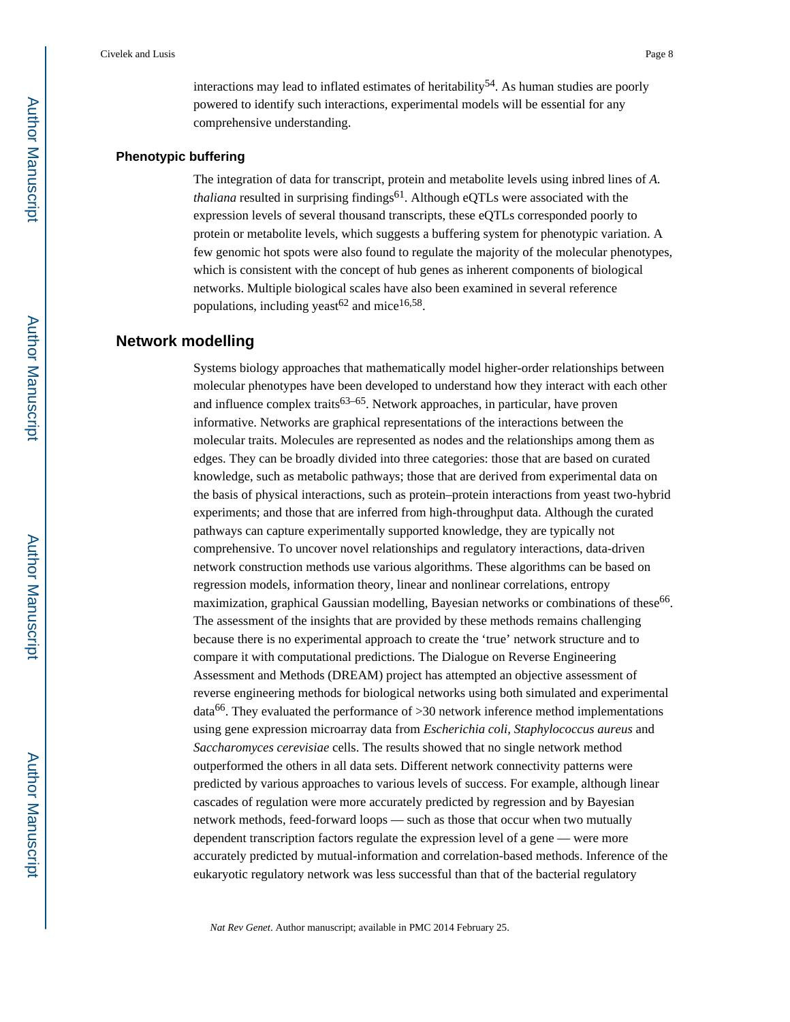interactions may lead to inflated estimates of heritability<sup>54</sup>. As human studies are poorly powered to identify such interactions, experimental models will be essential for any comprehensive understanding.

#### **Phenotypic buffering**

The integration of data for transcript, protein and metabolite levels using inbred lines of *A. thaliana* resulted in surprising findings<sup>61</sup>. Although eQTLs were associated with the expression levels of several thousand transcripts, these eQTLs corresponded poorly to protein or metabolite levels, which suggests a buffering system for phenotypic variation. A few genomic hot spots were also found to regulate the majority of the molecular phenotypes, which is consistent with the concept of hub genes as inherent components of biological networks. Multiple biological scales have also been examined in several reference populations, including yeast<sup>62</sup> and mice<sup>16,58</sup>.

# **Network modelling**

Systems biology approaches that mathematically model higher-order relationships between molecular phenotypes have been developed to understand how they interact with each other and influence complex traits<sup>63–65</sup>. Network approaches, in particular, have proven informative. Networks are graphical representations of the interactions between the molecular traits. Molecules are represented as nodes and the relationships among them as edges. They can be broadly divided into three categories: those that are based on curated knowledge, such as metabolic pathways; those that are derived from experimental data on the basis of physical interactions, such as protein–protein interactions from yeast two-hybrid experiments; and those that are inferred from high-throughput data. Although the curated pathways can capture experimentally supported knowledge, they are typically not comprehensive. To uncover novel relationships and regulatory interactions, data-driven network construction methods use various algorithms. These algorithms can be based on regression models, information theory, linear and nonlinear correlations, entropy maximization, graphical Gaussian modelling, Bayesian networks or combinations of these<sup>66</sup>. The assessment of the insights that are provided by these methods remains challenging because there is no experimental approach to create the 'true' network structure and to compare it with computational predictions. The Dialogue on Reverse Engineering Assessment and Methods (DREAM) project has attempted an objective assessment of reverse engineering methods for biological networks using both simulated and experimental data<sup>66</sup>. They evaluated the performance of  $>$ 30 network inference method implementations using gene expression microarray data from *Escherichia coli, Staphylococcus aureus* and *Saccharomyces cerevisiae* cells. The results showed that no single network method outperformed the others in all data sets. Different network connectivity patterns were predicted by various approaches to various levels of success. For example, although linear cascades of regulation were more accurately predicted by regression and by Bayesian network methods, feed-forward loops — such as those that occur when two mutually dependent transcription factors regulate the expression level of a gene — were more accurately predicted by mutual-information and correlation-based methods. Inference of the eukaryotic regulatory network was less successful than that of the bacterial regulatory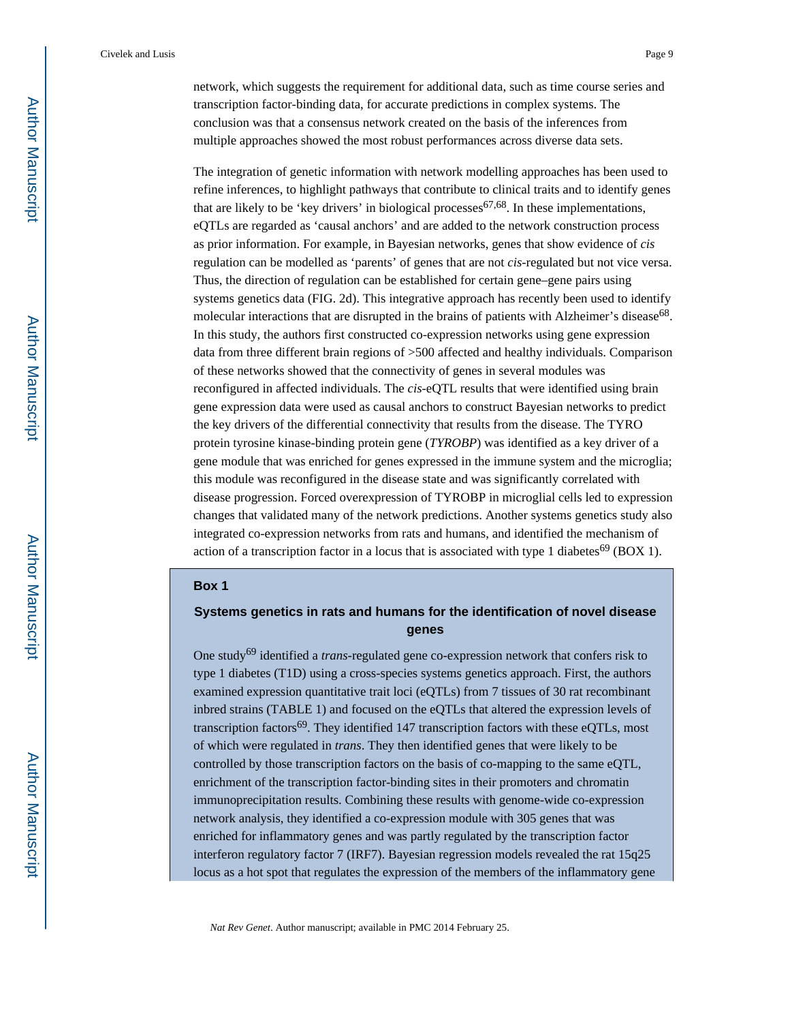network, which suggests the requirement for additional data, such as time course series and transcription factor-binding data, for accurate predictions in complex systems. The conclusion was that a consensus network created on the basis of the inferences from multiple approaches showed the most robust performances across diverse data sets.

The integration of genetic information with network modelling approaches has been used to refine inferences, to highlight pathways that contribute to clinical traits and to identify genes that are likely to be 'key drivers' in biological processes  $67,68$ . In these implementations, eQTLs are regarded as 'causal anchors' and are added to the network construction process as prior information. For example, in Bayesian networks, genes that show evidence of *cis*  regulation can be modelled as 'parents' of genes that are not *cis*-regulated but not vice versa. Thus, the direction of regulation can be established for certain gene–gene pairs using systems genetics data (FIG. 2d). This integrative approach has recently been used to identify molecular interactions that are disrupted in the brains of patients with Alzheimer's disease<sup>68</sup>. In this study, the authors first constructed co-expression networks using gene expression data from three different brain regions of >500 affected and healthy individuals. Comparison of these networks showed that the connectivity of genes in several modules was reconfigured in affected individuals. The *cis*-eQTL results that were identified using brain gene expression data were used as causal anchors to construct Bayesian networks to predict the key drivers of the differential connectivity that results from the disease. The TYRO protein tyrosine kinase-binding protein gene (*TYROBP*) was identified as a key driver of a gene module that was enriched for genes expressed in the immune system and the microglia; this module was reconfigured in the disease state and was significantly correlated with disease progression. Forced overexpression of TYROBP in microglial cells led to expression changes that validated many of the network predictions. Another systems genetics study also integrated co-expression networks from rats and humans, and identified the mechanism of action of a transcription factor in a locus that is associated with type 1 diabetes<sup>69</sup> (BOX 1).

#### **Box 1**

# **Systems genetics in rats and humans for the identification of novel disease genes**

One study69 identified a *trans*-regulated gene co-expression network that confers risk to type 1 diabetes (T1D) using a cross-species systems genetics approach. First, the authors examined expression quantitative trait loci (eQTLs) from 7 tissues of 30 rat recombinant inbred strains (TABLE 1) and focused on the eQTLs that altered the expression levels of transcription factors<sup>69</sup>. They identified 147 transcription factors with these eQTLs, most of which were regulated in *trans*. They then identified genes that were likely to be controlled by those transcription factors on the basis of co-mapping to the same eQTL, enrichment of the transcription factor-binding sites in their promoters and chromatin immunoprecipitation results. Combining these results with genome-wide co-expression network analysis, they identified a co-expression module with 305 genes that was enriched for inflammatory genes and was partly regulated by the transcription factor interferon regulatory factor 7 (IRF7). Bayesian regression models revealed the rat 15q25 locus as a hot spot that regulates the expression of the members of the inflammatory gene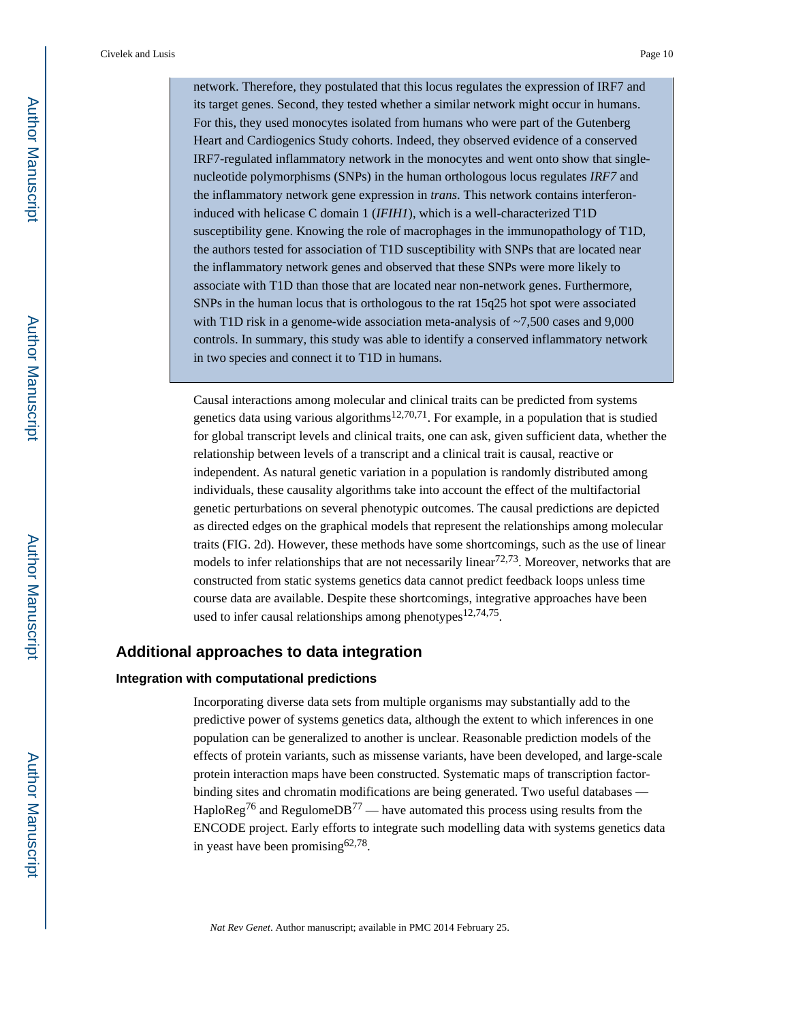network. Therefore, they postulated that this locus regulates the expression of IRF7 and its target genes. Second, they tested whether a similar network might occur in humans. For this, they used monocytes isolated from humans who were part of the Gutenberg Heart and Cardiogenics Study cohorts. Indeed, they observed evidence of a conserved IRF7-regulated inflammatory network in the monocytes and went onto show that singlenucleotide polymorphisms (SNPs) in the human orthologous locus regulates *IRF7* and the inflammatory network gene expression in *trans*. This network contains interferoninduced with helicase C domain 1 (*IFIH1*), which is a well-characterized T1D susceptibility gene. Knowing the role of macrophages in the immunopathology of T1D, the authors tested for association of T1D susceptibility with SNPs that are located near the inflammatory network genes and observed that these SNPs were more likely to associate with T1D than those that are located near non-network genes. Furthermore, SNPs in the human locus that is orthologous to the rat 15q25 hot spot were associated with T1D risk in a genome-wide association meta-analysis of ~7,500 cases and 9,000 controls. In summary, this study was able to identify a conserved inflammatory network in two species and connect it to T1D in humans.

Causal interactions among molecular and clinical traits can be predicted from systems genetics data using various algorithms<sup>12,70,71</sup>. For example, in a population that is studied for global transcript levels and clinical traits, one can ask, given sufficient data, whether the relationship between levels of a transcript and a clinical trait is causal, reactive or independent. As natural genetic variation in a population is randomly distributed among individuals, these causality algorithms take into account the effect of the multifactorial genetic perturbations on several phenotypic outcomes. The causal predictions are depicted as directed edges on the graphical models that represent the relationships among molecular traits (FIG. 2d). However, these methods have some shortcomings, such as the use of linear models to infer relationships that are not necessarily linear<sup>72,73</sup>. Moreover, networks that are constructed from static systems genetics data cannot predict feedback loops unless time course data are available. Despite these shortcomings, integrative approaches have been used to infer causal relationships among phenotypes $12,74,75$ .

# **Additional approaches to data integration**

#### **Integration with computational predictions**

Incorporating diverse data sets from multiple organisms may substantially add to the predictive power of systems genetics data, although the extent to which inferences in one population can be generalized to another is unclear. Reasonable prediction models of the effects of protein variants, such as missense variants, have been developed, and large-scale protein interaction maps have been constructed. Systematic maps of transcription factorbinding sites and chromatin modifications are being generated. Two useful databases — HaploReg<sup>76</sup> and RegulomeDB<sup>77</sup> — have automated this process using results from the ENCODE project. Early efforts to integrate such modelling data with systems genetics data in yeast have been promising  $62,78$ .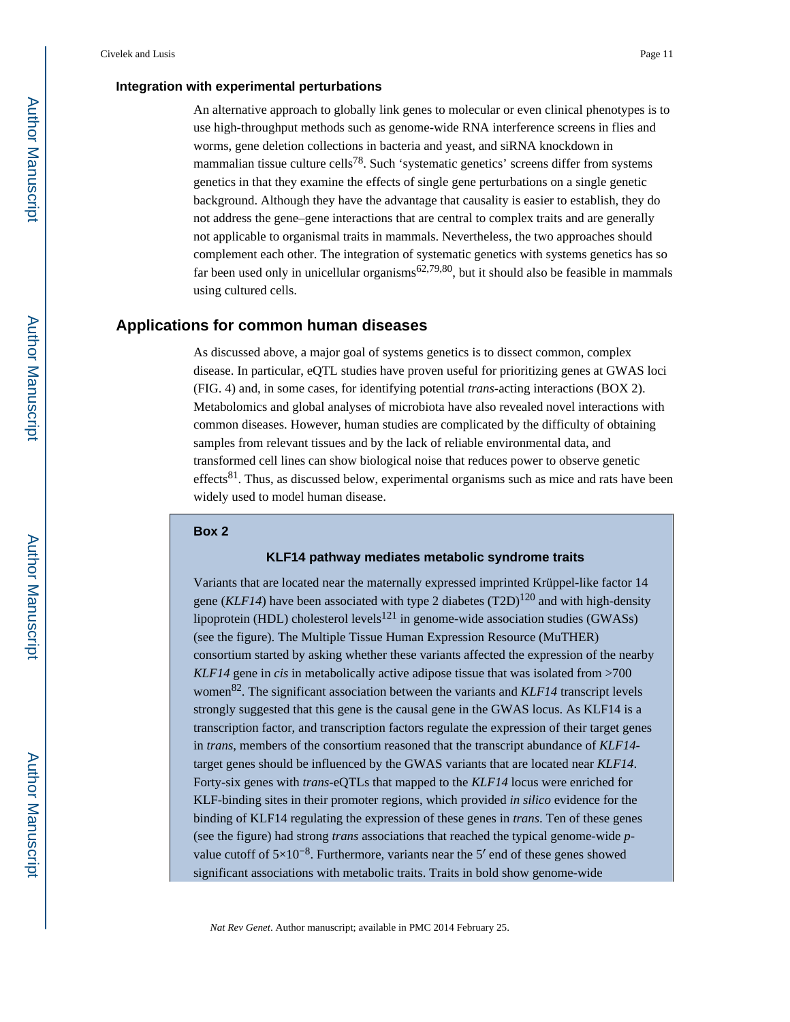#### **Integration with experimental perturbations**

An alternative approach to globally link genes to molecular or even clinical phenotypes is to use high-throughput methods such as genome-wide RNA interference screens in flies and worms, gene deletion collections in bacteria and yeast, and siRNA knockdown in mammalian tissue culture cells<sup>78</sup>. Such 'systematic genetics' screens differ from systems genetics in that they examine the effects of single gene perturbations on a single genetic background. Although they have the advantage that causality is easier to establish, they do not address the gene–gene interactions that are central to complex traits and are generally not applicable to organismal traits in mammals. Nevertheless, the two approaches should complement each other. The integration of systematic genetics with systems genetics has so far been used only in unicellular organisms<sup>62,79,80</sup>, but it should also be feasible in mammals using cultured cells.

### **Applications for common human diseases**

As discussed above, a major goal of systems genetics is to dissect common, complex disease. In particular, eQTL studies have proven useful for prioritizing genes at GWAS loci (FIG. 4) and, in some cases, for identifying potential *trans*-acting interactions (BOX 2). Metabolomics and global analyses of microbiota have also revealed novel interactions with common diseases. However, human studies are complicated by the difficulty of obtaining samples from relevant tissues and by the lack of reliable environmental data, and transformed cell lines can show biological noise that reduces power to observe genetic effects $81$ . Thus, as discussed below, experimental organisms such as mice and rats have been widely used to model human disease.

### **Box 2**

#### **KLF14 pathway mediates metabolic syndrome traits**

Variants that are located near the maternally expressed imprinted Krüppel-like factor 14 gene (*KLF14*) have been associated with type 2 diabetes (T2D)<sup>120</sup> and with high-density lipoprotein (HDL) cholesterol levels<sup>121</sup> in genome-wide association studies (GWASs) (see the figure). The Multiple Tissue Human Expression Resource (MuTHER) consortium started by asking whether these variants affected the expression of the nearby *KLF14* gene in *cis* in metabolically active adipose tissue that was isolated from >700 women82. The significant association between the variants and *KLF14* transcript levels strongly suggested that this gene is the causal gene in the GWAS locus. As KLF14 is a transcription factor, and transcription factors regulate the expression of their target genes in *trans*, members of the consortium reasoned that the transcript abundance of *KLF14* target genes should be influenced by the GWAS variants that are located near *KLF14*. Forty-six genes with *trans*-eQTLs that mapped to the *KLF14* locus were enriched for KLF-binding sites in their promoter regions, which provided *in silico* evidence for the binding of KLF14 regulating the expression of these genes in *trans*. Ten of these genes (see the figure) had strong *trans* associations that reached the typical genome-wide *p*value cutoff of  $5\times10^{-8}$ . Furthermore, variants near the 5' end of these genes showed significant associations with metabolic traits. Traits in bold show genome-wide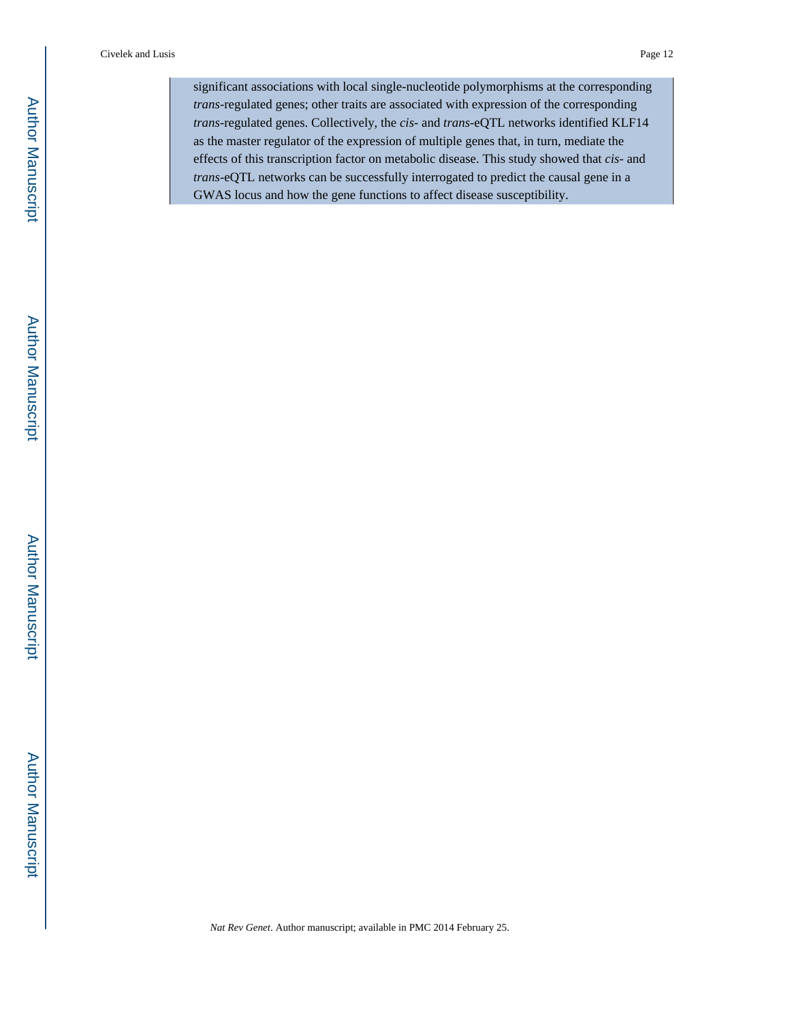significant associations with local single-nucleotide polymorphisms at the corresponding *trans*-regulated genes; other traits are associated with expression of the corresponding *trans*-regulated genes. Collectively, the *cis*- and *trans*-eQTL networks identified KLF14 as the master regulator of the expression of multiple genes that, in turn, mediate the effects of this transcription factor on metabolic disease. This study showed that *cis*- and *trans*-eQTL networks can be successfully interrogated to predict the causal gene in a GWAS locus and how the gene functions to affect disease susceptibility.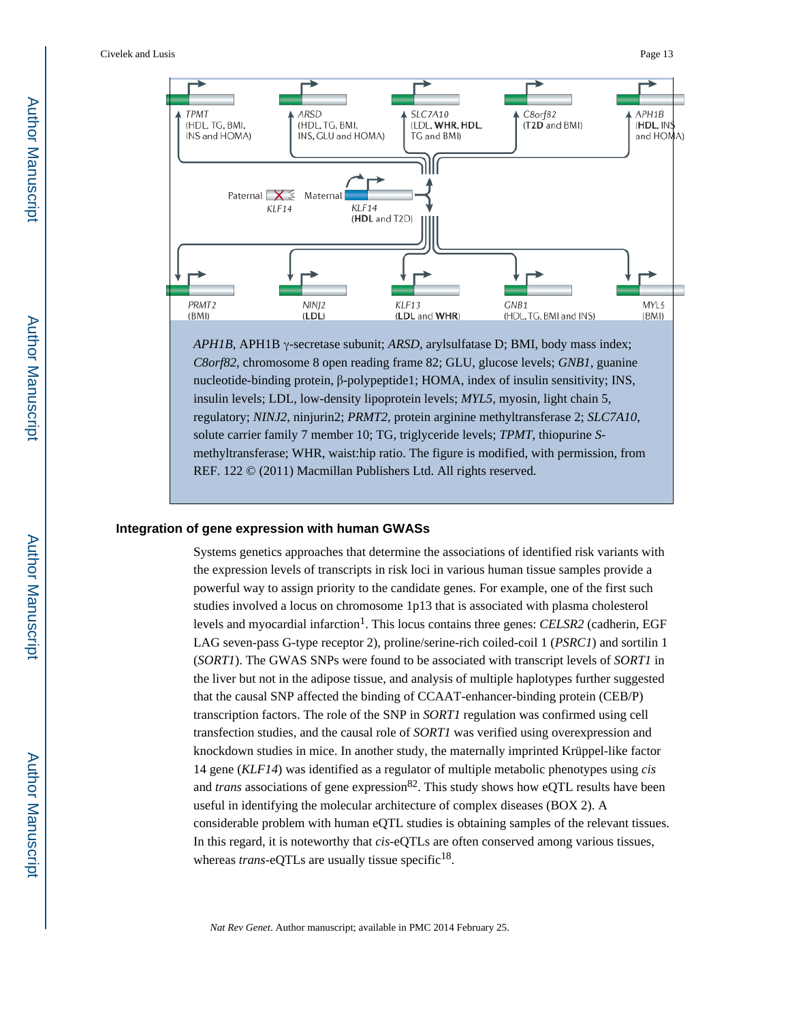

*APH1B*, APH1B γ-secretase subunit; *ARSD*, arylsulfatase D; BMI, body mass index; *C8orf82*, chromosome 8 open reading frame 82; GLU, glucose levels; *GNB1*, guanine nucleotide-binding protein, β-polypeptide1; HOMA, index of insulin sensitivity; INS, insulin levels; LDL, low-density lipoprotein levels; *MYL5*, myosin, light chain 5, regulatory; *NINJ2*, ninjurin2; *PRMT2*, protein arginine methyltransferase 2; *SLC7A10*, solute carrier family 7 member 10; TG, triglyceride levels; *TPMT*, thiopurine *S*methyltransferase; WHR, waist:hip ratio. The figure is modified, with permission, from REF. 122 © (2011) Macmillan Publishers Ltd. All rights reserved.

#### **Integration of gene expression with human GWASs**

Systems genetics approaches that determine the associations of identified risk variants with the expression levels of transcripts in risk loci in various human tissue samples provide a powerful way to assign priority to the candidate genes. For example, one of the first such studies involved a locus on chromosome 1p13 that is associated with plasma cholesterol levels and myocardial infarction<sup>1</sup>. This locus contains three genes: *CELSR2* (cadherin, EGF LAG seven-pass G-type receptor 2), proline/serine-rich coiled-coil 1 (*PSRC1*) and sortilin 1 (*SORT1*). The GWAS SNPs were found to be associated with transcript levels of *SORT1* in the liver but not in the adipose tissue, and analysis of multiple haplotypes further suggested that the causal SNP affected the binding of CCAAT-enhancer-binding protein (CEB/P) transcription factors. The role of the SNP in *SORT1* regulation was confirmed using cell transfection studies, and the causal role of *SORT1* was verified using overexpression and knockdown studies in mice. In another study, the maternally imprinted Krüppel-like factor 14 gene (*KLF14*) was identified as a regulator of multiple metabolic phenotypes using *cis*  and *trans* associations of gene expression<sup>82</sup>. This study shows how eQTL results have been useful in identifying the molecular architecture of complex diseases (BOX 2). A considerable problem with human eQTL studies is obtaining samples of the relevant tissues. In this regard, it is noteworthy that *cis*-eQTLs are often conserved among various tissues, whereas *trans*-eQTLs are usually tissue specific<sup>18</sup>.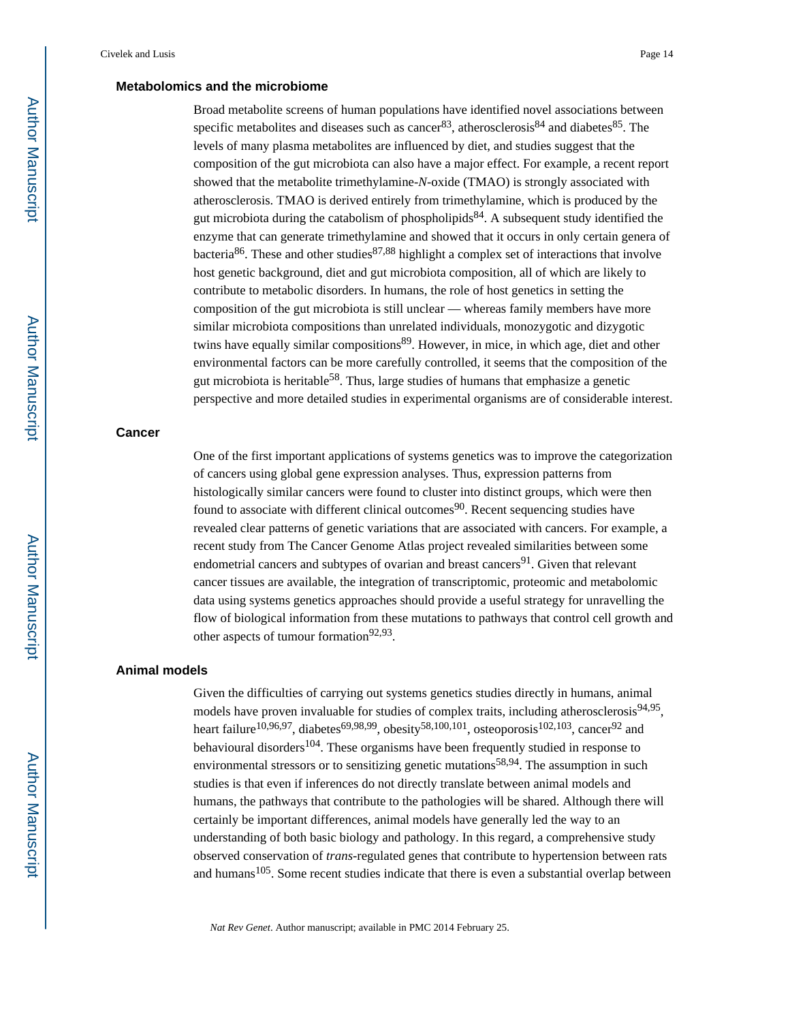#### **Metabolomics and the microbiome**

Broad metabolite screens of human populations have identified novel associations between specific metabolites and diseases such as cancer  $83$ , atherosclerosis  $84$  and diabetes  $85$ . The levels of many plasma metabolites are influenced by diet, and studies suggest that the composition of the gut microbiota can also have a major effect. For example, a recent report showed that the metabolite trimethylamine-*N*-oxide (TMAO) is strongly associated with atherosclerosis. TMAO is derived entirely from trimethylamine, which is produced by the gut microbiota during the catabolism of phospholipids<sup>84</sup>. A subsequent study identified the enzyme that can generate trimethylamine and showed that it occurs in only certain genera of bacteria<sup>86</sup>. These and other studies<sup>87,88</sup> highlight a complex set of interactions that involve host genetic background, diet and gut microbiota composition, all of which are likely to contribute to metabolic disorders. In humans, the role of host genetics in setting the composition of the gut microbiota is still unclear — whereas family members have more similar microbiota compositions than unrelated individuals, monozygotic and dizygotic twins have equally similar compositions<sup>89</sup>. However, in mice, in which age, diet and other environmental factors can be more carefully controlled, it seems that the composition of the gut microbiota is heritable<sup>58</sup>. Thus, large studies of humans that emphasize a genetic perspective and more detailed studies in experimental organisms are of considerable interest.

#### **Cancer**

One of the first important applications of systems genetics was to improve the categorization of cancers using global gene expression analyses. Thus, expression patterns from histologically similar cancers were found to cluster into distinct groups, which were then found to associate with different clinical outcomes<sup>90</sup>. Recent sequencing studies have revealed clear patterns of genetic variations that are associated with cancers. For example, a recent study from The Cancer Genome Atlas project revealed similarities between some endometrial cancers and subtypes of ovarian and breast cancers<sup>91</sup>. Given that relevant cancer tissues are available, the integration of transcriptomic, proteomic and metabolomic data using systems genetics approaches should provide a useful strategy for unravelling the flow of biological information from these mutations to pathways that control cell growth and other aspects of tumour formation $92,93$ .

#### **Animal models**

Given the difficulties of carrying out systems genetics studies directly in humans, animal models have proven invaluable for studies of complex traits, including atherosclerosis  $94,95$ , heart failure<sup>10,96,97</sup>, diabetes<sup>69,98,99</sup>, obesity<sup>58,100,101</sup>, osteoporosis<sup>102,103</sup>, cancer<sup>92</sup> and behavioural disorders<sup>104</sup>. These organisms have been frequently studied in response to environmental stressors or to sensitizing genetic mutations<sup>58,94</sup>. The assumption in such studies is that even if inferences do not directly translate between animal models and humans, the pathways that contribute to the pathologies will be shared. Although there will certainly be important differences, animal models have generally led the way to an understanding of both basic biology and pathology. In this regard, a comprehensive study observed conservation of *trans*-regulated genes that contribute to hypertension between rats and humans<sup>105</sup>. Some recent studies indicate that there is even a substantial overlap between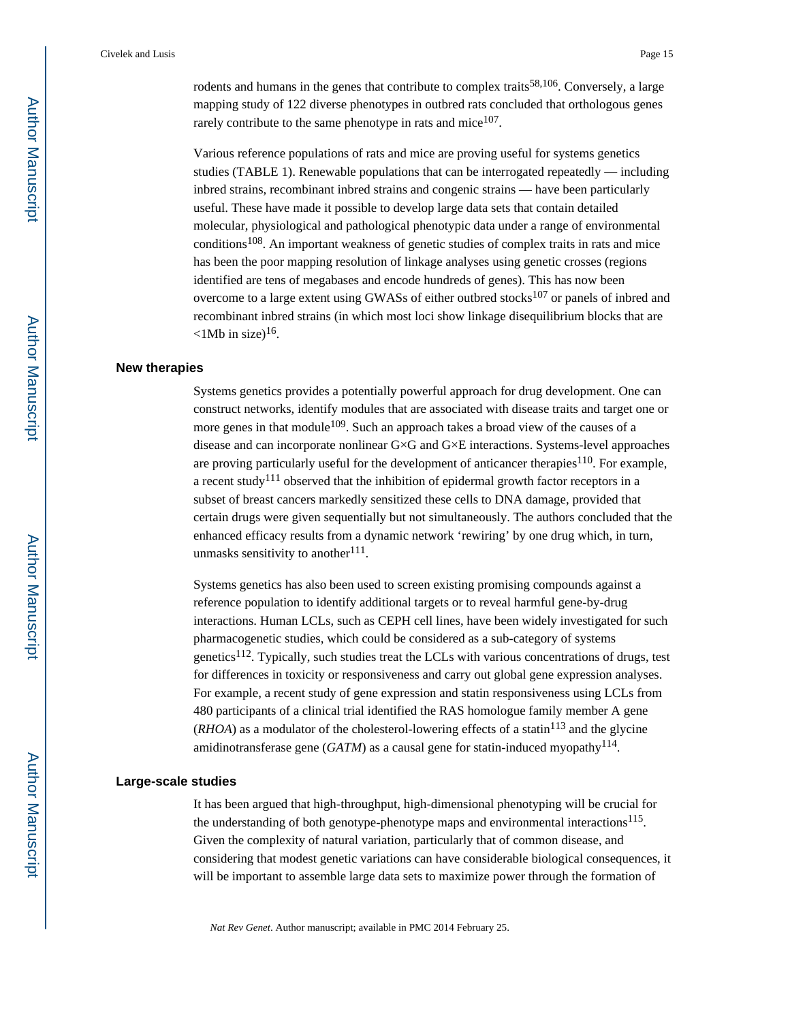rodents and humans in the genes that contribute to complex traits<sup>58,106</sup>. Conversely, a large mapping study of 122 diverse phenotypes in outbred rats concluded that orthologous genes rarely contribute to the same phenotype in rats and mice<sup>107</sup>.

Various reference populations of rats and mice are proving useful for systems genetics studies (TABLE 1). Renewable populations that can be interrogated repeatedly — including inbred strains, recombinant inbred strains and congenic strains — have been particularly useful. These have made it possible to develop large data sets that contain detailed molecular, physiological and pathological phenotypic data under a range of environmental  $conditions<sup>108</sup>$ . An important weakness of genetic studies of complex traits in rats and mice has been the poor mapping resolution of linkage analyses using genetic crosses (regions identified are tens of megabases and encode hundreds of genes). This has now been overcome to a large extent using GWASs of either outbred stocks<sup>107</sup> or panels of inbred and recombinant inbred strains (in which most loci show linkage disequilibrium blocks that are  $\leq 1$ Mb in size)<sup>16</sup>.

#### **New therapies**

Systems genetics provides a potentially powerful approach for drug development. One can construct networks, identify modules that are associated with disease traits and target one or more genes in that module<sup>109</sup>. Such an approach takes a broad view of the causes of a disease and can incorporate nonlinear G×G and G×E interactions. Systems-level approaches are proving particularly useful for the development of anticancer therapies<sup>110</sup>. For example, a recent study<sup>111</sup> observed that the inhibition of epidermal growth factor receptors in a subset of breast cancers markedly sensitized these cells to DNA damage, provided that certain drugs were given sequentially but not simultaneously. The authors concluded that the enhanced efficacy results from a dynamic network 'rewiring' by one drug which, in turn, unmasks sensitivity to another  $111$ .

Systems genetics has also been used to screen existing promising compounds against a reference population to identify additional targets or to reveal harmful gene-by-drug interactions. Human LCLs, such as CEPH cell lines, have been widely investigated for such pharmacogenetic studies, which could be considered as a sub-category of systems genetics112. Typically, such studies treat the LCLs with various concentrations of drugs, test for differences in toxicity or responsiveness and carry out global gene expression analyses. For example, a recent study of gene expression and statin responsiveness using LCLs from 480 participants of a clinical trial identified the RAS homologue family member A gene  $(RHOA)$  as a modulator of the cholesterol-lowering effects of a statin<sup>113</sup> and the glycine amidinotransferase gene  $(GATM)$  as a causal gene for statin-induced myopathy<sup>114</sup>.

#### **Large-scale studies**

It has been argued that high-throughput, high-dimensional phenotyping will be crucial for the understanding of both genotype-phenotype maps and environmental interactions<sup>115</sup>. Given the complexity of natural variation, particularly that of common disease, and considering that modest genetic variations can have considerable biological consequences, it will be important to assemble large data sets to maximize power through the formation of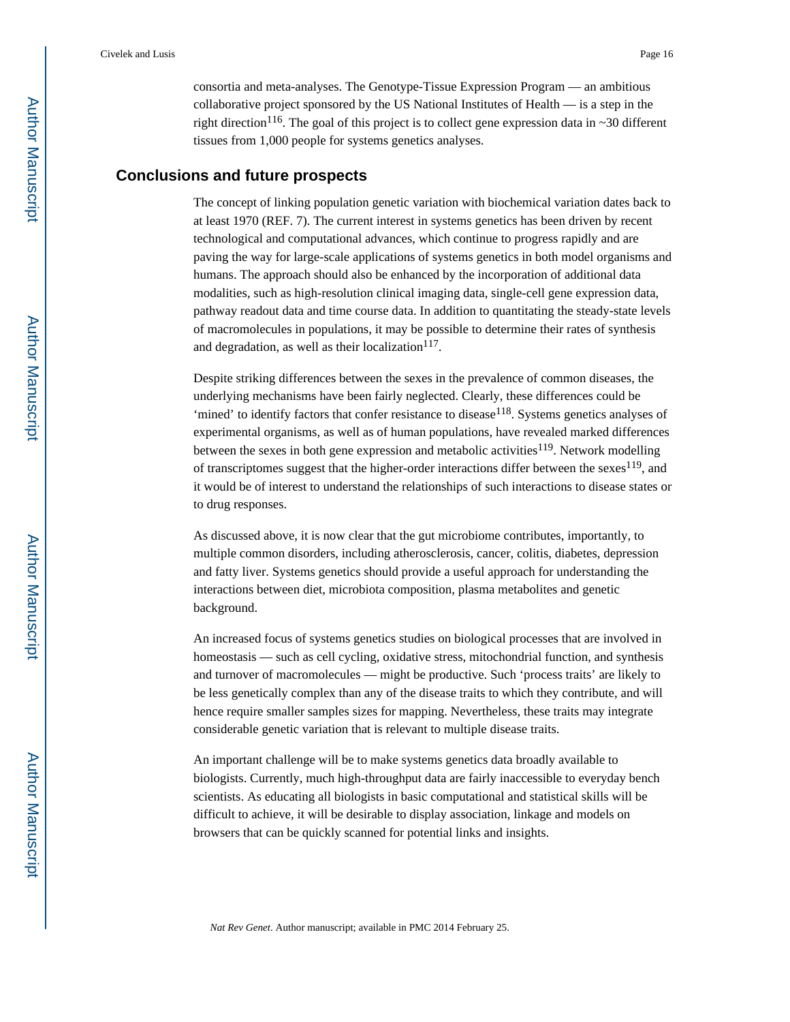consortia and meta-analyses. The Genotype-Tissue Expression Program — an ambitious collaborative project sponsored by the US National Institutes of Health — is a step in the right direction<sup>116</sup>. The goal of this project is to collect gene expression data in  $\sim$ 30 different tissues from 1,000 people for systems genetics analyses.

## **Conclusions and future prospects**

The concept of linking population genetic variation with biochemical variation dates back to at least 1970 (REF. 7). The current interest in systems genetics has been driven by recent technological and computational advances, which continue to progress rapidly and are paving the way for large-scale applications of systems genetics in both model organisms and humans. The approach should also be enhanced by the incorporation of additional data modalities, such as high-resolution clinical imaging data, single-cell gene expression data, pathway readout data and time course data. In addition to quantitating the steady-state levels of macromolecules in populations, it may be possible to determine their rates of synthesis and degradation, as well as their localization $117$ .

Despite striking differences between the sexes in the prevalence of common diseases, the underlying mechanisms have been fairly neglected. Clearly, these differences could be 'mined' to identify factors that confer resistance to disease  $118$ . Systems genetics analyses of experimental organisms, as well as of human populations, have revealed marked differences between the sexes in both gene expression and metabolic activities<sup>119</sup>. Network modelling of transcriptomes suggest that the higher-order interactions differ between the sexes<sup>119</sup>, and it would be of interest to understand the relationships of such interactions to disease states or to drug responses.

As discussed above, it is now clear that the gut microbiome contributes, importantly, to multiple common disorders, including atherosclerosis, cancer, colitis, diabetes, depression and fatty liver. Systems genetics should provide a useful approach for understanding the interactions between diet, microbiota composition, plasma metabolites and genetic background.

An increased focus of systems genetics studies on biological processes that are involved in homeostasis — such as cell cycling, oxidative stress, mitochondrial function, and synthesis and turnover of macromolecules — might be productive. Such 'process traits' are likely to be less genetically complex than any of the disease traits to which they contribute, and will hence require smaller samples sizes for mapping. Nevertheless, these traits may integrate considerable genetic variation that is relevant to multiple disease traits.

An important challenge will be to make systems genetics data broadly available to biologists. Currently, much high-throughput data are fairly inaccessible to everyday bench scientists. As educating all biologists in basic computational and statistical skills will be difficult to achieve, it will be desirable to display association, linkage and models on browsers that can be quickly scanned for potential links and insights.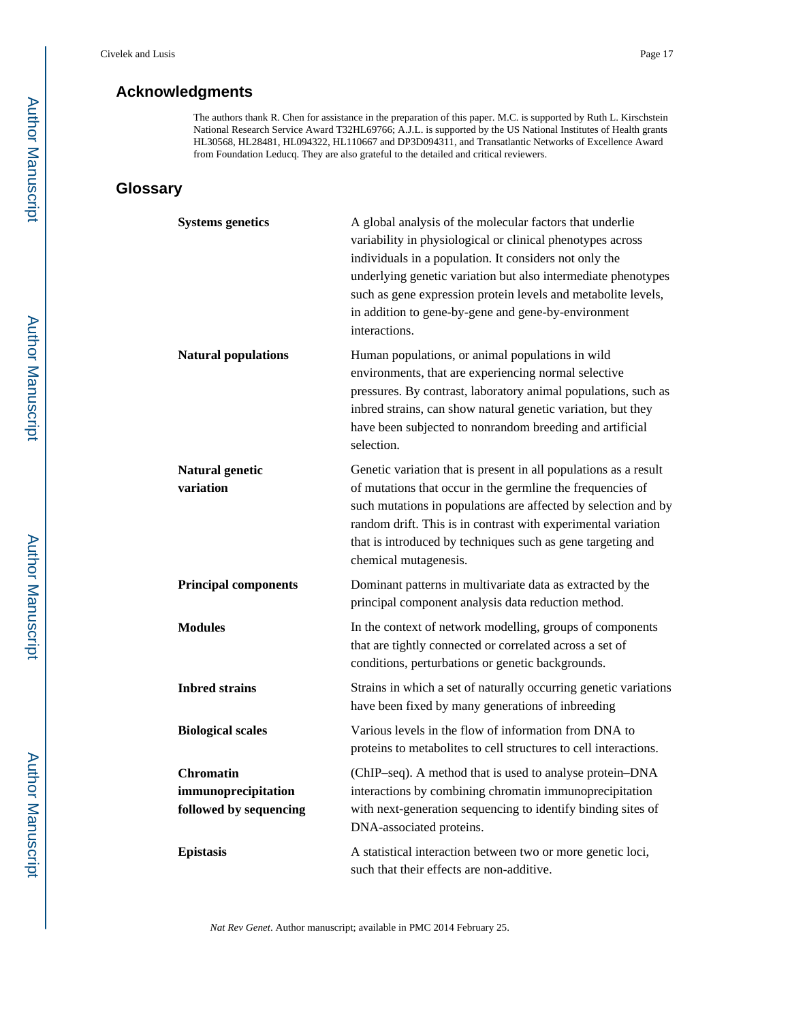# **Acknowledgments**

The authors thank R. Chen for assistance in the preparation of this paper. M.C. is supported by Ruth L. Kirschstein National Research Service Award T32HL69766; A.J.L. is supported by the US National Institutes of Health grants HL30568, HL28481, HL094322, HL110667 and DP3D094311, and Transatlantic Networks of Excellence Award from Foundation Leducq. They are also grateful to the detailed and critical reviewers.

# **Glossary**

| <b>Systems genetics</b>                                           | A global analysis of the molecular factors that underlie<br>variability in physiological or clinical phenotypes across<br>individuals in a population. It considers not only the<br>underlying genetic variation but also intermediate phenotypes<br>such as gene expression protein levels and metabolite levels,<br>in addition to gene-by-gene and gene-by-environment<br>interactions. |
|-------------------------------------------------------------------|--------------------------------------------------------------------------------------------------------------------------------------------------------------------------------------------------------------------------------------------------------------------------------------------------------------------------------------------------------------------------------------------|
| <b>Natural populations</b>                                        | Human populations, or animal populations in wild<br>environments, that are experiencing normal selective<br>pressures. By contrast, laboratory animal populations, such as<br>inbred strains, can show natural genetic variation, but they<br>have been subjected to nonrandom breeding and artificial<br>selection.                                                                       |
| <b>Natural genetic</b><br>variation                               | Genetic variation that is present in all populations as a result<br>of mutations that occur in the germline the frequencies of<br>such mutations in populations are affected by selection and by<br>random drift. This is in contrast with experimental variation<br>that is introduced by techniques such as gene targeting and<br>chemical mutagenesis.                                  |
| <b>Principal components</b>                                       | Dominant patterns in multivariate data as extracted by the<br>principal component analysis data reduction method.                                                                                                                                                                                                                                                                          |
| <b>Modules</b>                                                    | In the context of network modelling, groups of components<br>that are tightly connected or correlated across a set of<br>conditions, perturbations or genetic backgrounds.                                                                                                                                                                                                                 |
| <b>Inbred strains</b>                                             | Strains in which a set of naturally occurring genetic variations<br>have been fixed by many generations of inbreeding                                                                                                                                                                                                                                                                      |
| <b>Biological scales</b>                                          | Various levels in the flow of information from DNA to<br>proteins to metabolites to cell structures to cell interactions.                                                                                                                                                                                                                                                                  |
| <b>Chromatin</b><br>immunoprecipitation<br>followed by sequencing | (ChIP-seq). A method that is used to analyse protein-DNA<br>interactions by combining chromatin immunoprecipitation<br>with next-generation sequencing to identify binding sites of<br>DNA-associated proteins.                                                                                                                                                                            |
| <b>Epistasis</b>                                                  | A statistical interaction between two or more genetic loci,<br>such that their effects are non-additive.                                                                                                                                                                                                                                                                                   |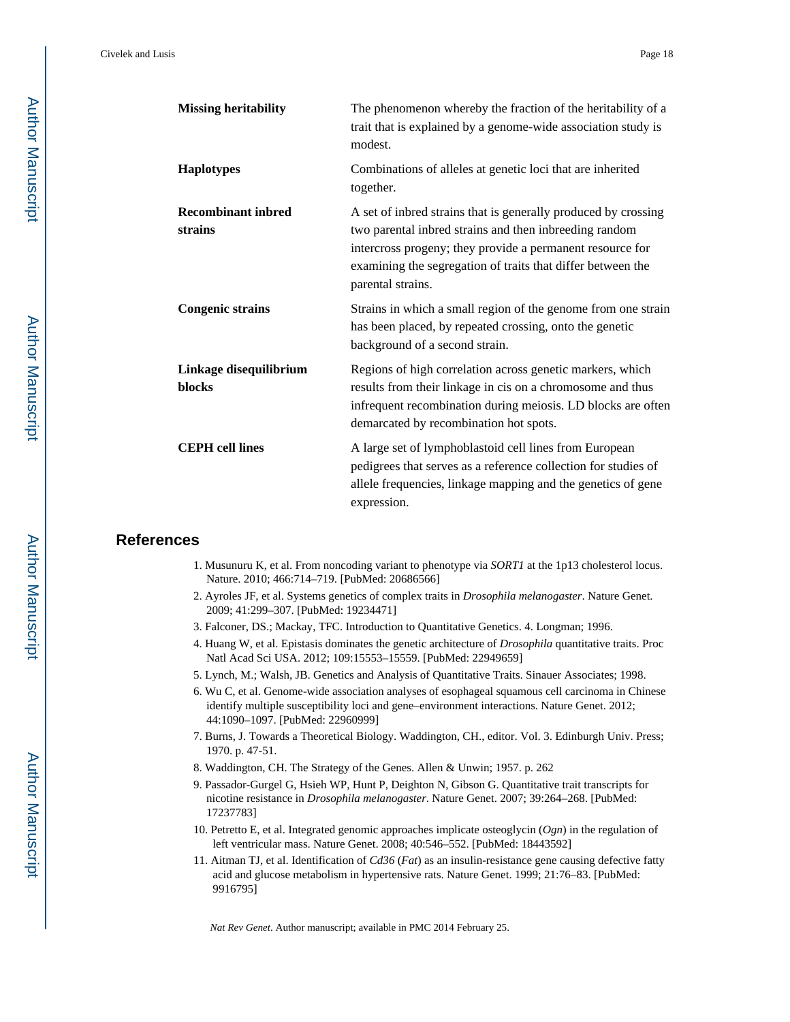| <b>Missing heritability</b>          | The phenomenon whereby the fraction of the heritability of a<br>trait that is explained by a genome-wide association study is<br>modest.                                                                                                                                  |
|--------------------------------------|---------------------------------------------------------------------------------------------------------------------------------------------------------------------------------------------------------------------------------------------------------------------------|
| <b>Haplotypes</b>                    | Combinations of alleles at genetic loci that are inherited<br>together.                                                                                                                                                                                                   |
| <b>Recombinant inbred</b><br>strains | A set of inbred strains that is generally produced by crossing<br>two parental inbred strains and then inbreeding random<br>intercross progeny; they provide a permanent resource for<br>examining the segregation of traits that differ between the<br>parental strains. |
| <b>Congenic strains</b>              | Strains in which a small region of the genome from one strain<br>has been placed, by repeated crossing, onto the genetic<br>background of a second strain.                                                                                                                |
| Linkage disequilibrium<br>blocks     | Regions of high correlation across genetic markers, which<br>results from their linkage in cis on a chromosome and thus<br>infrequent recombination during meiosis. LD blocks are often<br>demarcated by recombination hot spots.                                         |
| <b>CEPH</b> cell lines               | A large set of lymphoblastoid cell lines from European<br>pedigrees that serves as a reference collection for studies of<br>allele frequencies, linkage mapping and the genetics of gene<br>expression.                                                                   |

# **References**

- 1. Musunuru K, et al. From noncoding variant to phenotype via *SORT1* at the 1p13 cholesterol locus. Nature. 2010; 466:714–719. [PubMed: 20686566]
- 2. Ayroles JF, et al. Systems genetics of complex traits in *Drosophila melanogaster*. Nature Genet. 2009; 41:299–307. [PubMed: 19234471]
- 3. Falconer, DS.; Mackay, TFC. Introduction to Quantitative Genetics. 4. Longman; 1996.
- 4. Huang W, et al. Epistasis dominates the genetic architecture of *Drosophila* quantitative traits. Proc Natl Acad Sci USA. 2012; 109:15553–15559. [PubMed: 22949659]
- 5. Lynch, M.; Walsh, JB. Genetics and Analysis of Quantitative Traits. Sinauer Associates; 1998.
- 6. Wu C, et al. Genome-wide association analyses of esophageal squamous cell carcinoma in Chinese identify multiple susceptibility loci and gene–environment interactions. Nature Genet. 2012; 44:1090–1097. [PubMed: 22960999]
- 7. Burns, J. Towards a Theoretical Biology. Waddington, CH., editor. Vol. 3. Edinburgh Univ. Press; 1970. p. 47-51.
- 8. Waddington, CH. The Strategy of the Genes. Allen & Unwin; 1957. p. 262
- 9. Passador-Gurgel G, Hsieh WP, Hunt P, Deighton N, Gibson G. Quantitative trait transcripts for nicotine resistance in *Drosophila melanogaster*. Nature Genet. 2007; 39:264–268. [PubMed: 17237783]
- 10. Petretto E, et al. Integrated genomic approaches implicate osteoglycin (*Ogn*) in the regulation of left ventricular mass. Nature Genet. 2008; 40:546–552. [PubMed: 18443592]
- 11. Aitman TJ, et al. Identification of *Cd36* (*Fat*) as an insulin-resistance gene causing defective fatty acid and glucose metabolism in hypertensive rats. Nature Genet. 1999; 21:76–83. [PubMed: 9916795]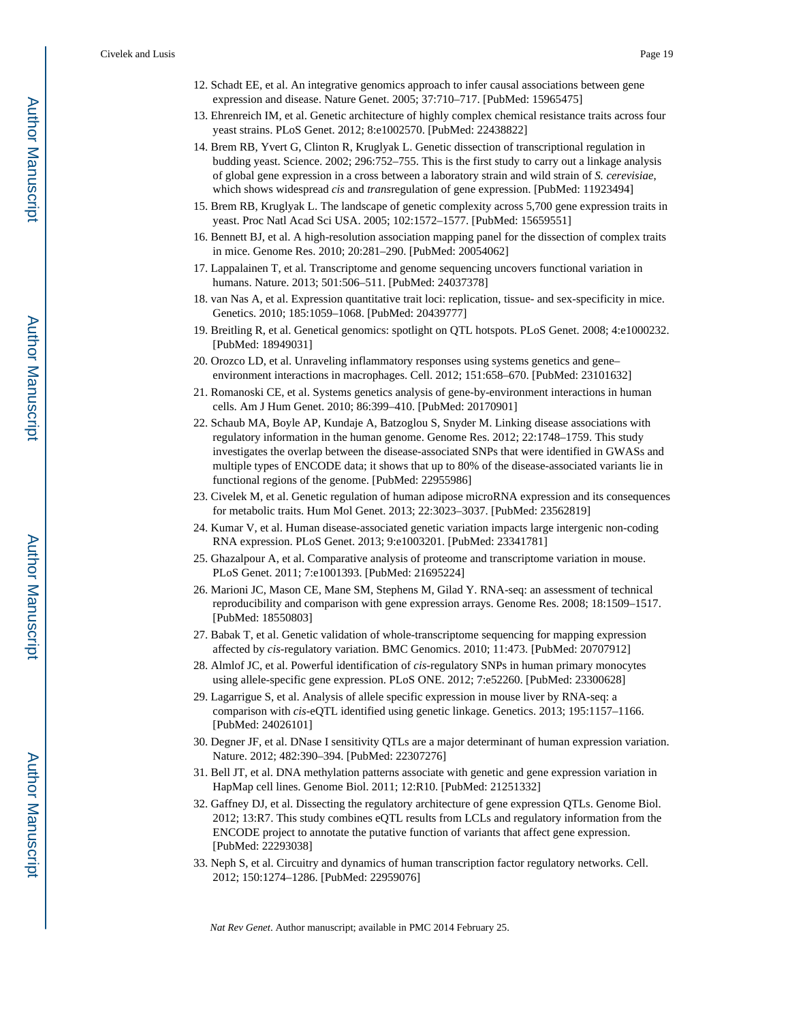- 12. Schadt EE, et al. An integrative genomics approach to infer causal associations between gene expression and disease. Nature Genet. 2005; 37:710–717. [PubMed: 15965475]
- 13. Ehrenreich IM, et al. Genetic architecture of highly complex chemical resistance traits across four yeast strains. PLoS Genet. 2012; 8:e1002570. [PubMed: 22438822]
- 14. Brem RB, Yvert G, Clinton R, Kruglyak L. Genetic dissection of transcriptional regulation in budding yeast. Science. 2002; 296:752–755. This is the first study to carry out a linkage analysis of global gene expression in a cross between a laboratory strain and wild strain of *S. cerevisiae*, which shows widespread *cis* and *trans*regulation of gene expression. [PubMed: 11923494]
- 15. Brem RB, Kruglyak L. The landscape of genetic complexity across 5,700 gene expression traits in yeast. Proc Natl Acad Sci USA. 2005; 102:1572–1577. [PubMed: 15659551]
- 16. Bennett BJ, et al. A high-resolution association mapping panel for the dissection of complex traits in mice. Genome Res. 2010; 20:281–290. [PubMed: 20054062]
- 17. Lappalainen T, et al. Transcriptome and genome sequencing uncovers functional variation in humans. Nature. 2013; 501:506–511. [PubMed: 24037378]
- 18. van Nas A, et al. Expression quantitative trait loci: replication, tissue- and sex-specificity in mice. Genetics. 2010; 185:1059–1068. [PubMed: 20439777]
- 19. Breitling R, et al. Genetical genomics: spotlight on QTL hotspots. PLoS Genet. 2008; 4:e1000232. [PubMed: 18949031]
- 20. Orozco LD, et al. Unraveling inflammatory responses using systems genetics and gene– environment interactions in macrophages. Cell. 2012; 151:658–670. [PubMed: 23101632]
- 21. Romanoski CE, et al. Systems genetics analysis of gene-by-environment interactions in human cells. Am J Hum Genet. 2010; 86:399–410. [PubMed: 20170901]
- 22. Schaub MA, Boyle AP, Kundaje A, Batzoglou S, Snyder M. Linking disease associations with regulatory information in the human genome. Genome Res. 2012; 22:1748–1759. This study investigates the overlap between the disease-associated SNPs that were identified in GWASs and multiple types of ENCODE data; it shows that up to 80% of the disease-associated variants lie in functional regions of the genome. [PubMed: 22955986]
- 23. Civelek M, et al. Genetic regulation of human adipose microRNA expression and its consequences for metabolic traits. Hum Mol Genet. 2013; 22:3023–3037. [PubMed: 23562819]
- 24. Kumar V, et al. Human disease-associated genetic variation impacts large intergenic non-coding RNA expression. PLoS Genet. 2013; 9:e1003201. [PubMed: 23341781]
- 25. Ghazalpour A, et al. Comparative analysis of proteome and transcriptome variation in mouse. PLoS Genet. 2011; 7:e1001393. [PubMed: 21695224]
- 26. Marioni JC, Mason CE, Mane SM, Stephens M, Gilad Y. RNA-seq: an assessment of technical reproducibility and comparison with gene expression arrays. Genome Res. 2008; 18:1509–1517. [PubMed: 18550803]
- 27. Babak T, et al. Genetic validation of whole-transcriptome sequencing for mapping expression affected by *cis*-regulatory variation. BMC Genomics. 2010; 11:473. [PubMed: 20707912]
- 28. Almlof JC, et al. Powerful identification of *cis*-regulatory SNPs in human primary monocytes using allele-specific gene expression. PLoS ONE. 2012; 7:e52260. [PubMed: 23300628]
- 29. Lagarrigue S, et al. Analysis of allele specific expression in mouse liver by RNA-seq: a comparison with *cis*-eQTL identified using genetic linkage. Genetics. 2013; 195:1157–1166. [PubMed: 24026101]
- 30. Degner JF, et al. DNase I sensitivity QTLs are a major determinant of human expression variation. Nature. 2012; 482:390–394. [PubMed: 22307276]
- 31. Bell JT, et al. DNA methylation patterns associate with genetic and gene expression variation in HapMap cell lines. Genome Biol. 2011; 12:R10. [PubMed: 21251332]
- 32. Gaffney DJ, et al. Dissecting the regulatory architecture of gene expression QTLs. Genome Biol. 2012; 13:R7. This study combines eQTL results from LCLs and regulatory information from the ENCODE project to annotate the putative function of variants that affect gene expression. [PubMed: 22293038]
- 33. Neph S, et al. Circuitry and dynamics of human transcription factor regulatory networks. Cell. 2012; 150:1274–1286. [PubMed: 22959076]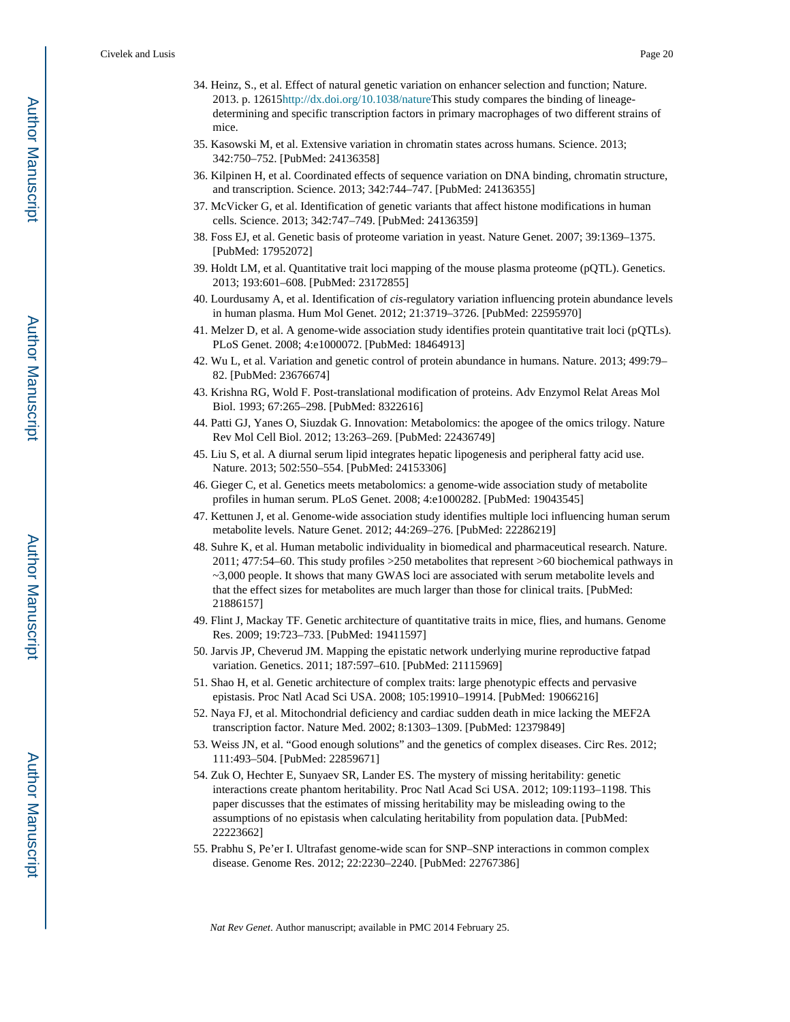- 34. Heinz, S., et al. Effect of natural genetic variation on enhancer selection and function; Nature. 2013. p. 12615<http://dx.doi.org/10.1038/nature>This study compares the binding of lineagedetermining and specific transcription factors in primary macrophages of two different strains of mice.
- 35. Kasowski M, et al. Extensive variation in chromatin states across humans. Science. 2013; 342:750–752. [PubMed: 24136358]
- 36. Kilpinen H, et al. Coordinated effects of sequence variation on DNA binding, chromatin structure, and transcription. Science. 2013; 342:744–747. [PubMed: 24136355]
- 37. McVicker G, et al. Identification of genetic variants that affect histone modifications in human cells. Science. 2013; 342:747–749. [PubMed: 24136359]
- 38. Foss EJ, et al. Genetic basis of proteome variation in yeast. Nature Genet. 2007; 39:1369–1375. [PubMed: 17952072]
- 39. Holdt LM, et al. Quantitative trait loci mapping of the mouse plasma proteome (pQTL). Genetics. 2013; 193:601–608. [PubMed: 23172855]
- 40. Lourdusamy A, et al. Identification of *cis*-regulatory variation influencing protein abundance levels in human plasma. Hum Mol Genet. 2012; 21:3719–3726. [PubMed: 22595970]
- 41. Melzer D, et al. A genome-wide association study identifies protein quantitative trait loci (pQTLs). PLoS Genet. 2008; 4:e1000072. [PubMed: 18464913]
- 42. Wu L, et al. Variation and genetic control of protein abundance in humans. Nature. 2013; 499:79– 82. [PubMed: 23676674]
- 43. Krishna RG, Wold F. Post-translational modification of proteins. Adv Enzymol Relat Areas Mol Biol. 1993; 67:265–298. [PubMed: 8322616]
- 44. Patti GJ, Yanes O, Siuzdak G. Innovation: Metabolomics: the apogee of the omics trilogy. Nature Rev Mol Cell Biol. 2012; 13:263–269. [PubMed: 22436749]
- 45. Liu S, et al. A diurnal serum lipid integrates hepatic lipogenesis and peripheral fatty acid use. Nature. 2013; 502:550–554. [PubMed: 24153306]
- 46. Gieger C, et al. Genetics meets metabolomics: a genome-wide association study of metabolite profiles in human serum. PLoS Genet. 2008; 4:e1000282. [PubMed: 19043545]
- 47. Kettunen J, et al. Genome-wide association study identifies multiple loci influencing human serum metabolite levels. Nature Genet. 2012; 44:269–276. [PubMed: 22286219]
- 48. Suhre K, et al. Human metabolic individuality in biomedical and pharmaceutical research. Nature. 2011; 477:54–60. This study profiles >250 metabolites that represent >60 biochemical pathways in ~3,000 people. It shows that many GWAS loci are associated with serum metabolite levels and that the effect sizes for metabolites are much larger than those for clinical traits. [PubMed: 21886157]
- 49. Flint J, Mackay TF. Genetic architecture of quantitative traits in mice, flies, and humans. Genome Res. 2009; 19:723–733. [PubMed: 19411597]
- 50. Jarvis JP, Cheverud JM. Mapping the epistatic network underlying murine reproductive fatpad variation. Genetics. 2011; 187:597–610. [PubMed: 21115969]
- 51. Shao H, et al. Genetic architecture of complex traits: large phenotypic effects and pervasive epistasis. Proc Natl Acad Sci USA. 2008; 105:19910–19914. [PubMed: 19066216]
- 52. Naya FJ, et al. Mitochondrial deficiency and cardiac sudden death in mice lacking the MEF2A transcription factor. Nature Med. 2002; 8:1303–1309. [PubMed: 12379849]
- 53. Weiss JN, et al. "Good enough solutions" and the genetics of complex diseases. Circ Res. 2012; 111:493–504. [PubMed: 22859671]
- 54. Zuk O, Hechter E, Sunyaev SR, Lander ES. The mystery of missing heritability: genetic interactions create phantom heritability. Proc Natl Acad Sci USA. 2012; 109:1193–1198. This paper discusses that the estimates of missing heritability may be misleading owing to the assumptions of no epistasis when calculating heritability from population data. [PubMed: 22223662]
- 55. Prabhu S, Pe'er I. Ultrafast genome-wide scan for SNP–SNP interactions in common complex disease. Genome Res. 2012; 22:2230–2240. [PubMed: 22767386]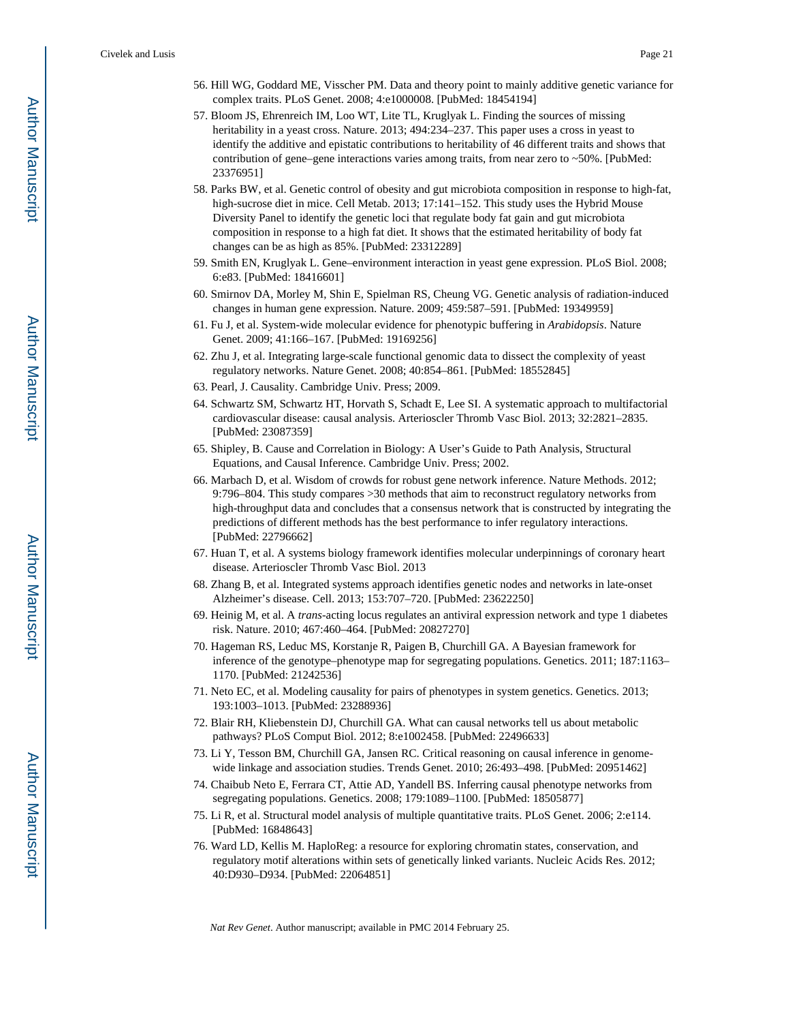- 56. Hill WG, Goddard ME, Visscher PM. Data and theory point to mainly additive genetic variance for complex traits. PLoS Genet. 2008; 4:e1000008. [PubMed: 18454194]
- 57. Bloom JS, Ehrenreich IM, Loo WT, Lite TL, Kruglyak L. Finding the sources of missing heritability in a yeast cross. Nature. 2013; 494:234–237. This paper uses a cross in yeast to identify the additive and epistatic contributions to heritability of 46 different traits and shows that contribution of gene–gene interactions varies among traits, from near zero to  $\sim$  50%. [PubMed: 23376951]
- 58. Parks BW, et al. Genetic control of obesity and gut microbiota composition in response to high-fat, high-sucrose diet in mice. Cell Metab. 2013; 17:141-152. This study uses the Hybrid Mouse Diversity Panel to identify the genetic loci that regulate body fat gain and gut microbiota composition in response to a high fat diet. It shows that the estimated heritability of body fat changes can be as high as 85%. [PubMed: 23312289]
- 59. Smith EN, Kruglyak L. Gene–environment interaction in yeast gene expression. PLoS Biol. 2008; 6:e83. [PubMed: 18416601]
- 60. Smirnov DA, Morley M, Shin E, Spielman RS, Cheung VG. Genetic analysis of radiation-induced changes in human gene expression. Nature. 2009; 459:587–591. [PubMed: 19349959]
- 61. Fu J, et al. System-wide molecular evidence for phenotypic buffering in *Arabidopsis*. Nature Genet. 2009; 41:166–167. [PubMed: 19169256]
- 62. Zhu J, et al. Integrating large-scale functional genomic data to dissect the complexity of yeast regulatory networks. Nature Genet. 2008; 40:854–861. [PubMed: 18552845]
- 63. Pearl, J. Causality. Cambridge Univ. Press; 2009.
- 64. Schwartz SM, Schwartz HT, Horvath S, Schadt E, Lee SI. A systematic approach to multifactorial cardiovascular disease: causal analysis. Arterioscler Thromb Vasc Biol. 2013; 32:2821–2835. [PubMed: 23087359]
- 65. Shipley, B. Cause and Correlation in Biology: A User's Guide to Path Analysis, Structural Equations, and Causal Inference. Cambridge Univ. Press; 2002.
- 66. Marbach D, et al. Wisdom of crowds for robust gene network inference. Nature Methods. 2012; 9:796–804. This study compares >30 methods that aim to reconstruct regulatory networks from high-throughput data and concludes that a consensus network that is constructed by integrating the predictions of different methods has the best performance to infer regulatory interactions. [PubMed: 22796662]
- 67. Huan T, et al. A systems biology framework identifies molecular underpinnings of coronary heart disease. Arterioscler Thromb Vasc Biol. 2013
- 68. Zhang B, et al. Integrated systems approach identifies genetic nodes and networks in late-onset Alzheimer's disease. Cell. 2013; 153:707–720. [PubMed: 23622250]
- 69. Heinig M, et al. A *trans*-acting locus regulates an antiviral expression network and type 1 diabetes risk. Nature. 2010; 467:460–464. [PubMed: 20827270]
- 70. Hageman RS, Leduc MS, Korstanje R, Paigen B, Churchill GA. A Bayesian framework for inference of the genotype–phenotype map for segregating populations. Genetics. 2011; 187:1163– 1170. [PubMed: 21242536]
- 71. Neto EC, et al. Modeling causality for pairs of phenotypes in system genetics. Genetics. 2013; 193:1003–1013. [PubMed: 23288936]
- 72. Blair RH, Kliebenstein DJ, Churchill GA. What can causal networks tell us about metabolic pathways? PLoS Comput Biol. 2012; 8:e1002458. [PubMed: 22496633]
- 73. Li Y, Tesson BM, Churchill GA, Jansen RC. Critical reasoning on causal inference in genomewide linkage and association studies. Trends Genet. 2010; 26:493–498. [PubMed: 20951462]
- 74. Chaibub Neto E, Ferrara CT, Attie AD, Yandell BS. Inferring causal phenotype networks from segregating populations. Genetics. 2008; 179:1089–1100. [PubMed: 18505877]
- 75. Li R, et al. Structural model analysis of multiple quantitative traits. PLoS Genet. 2006; 2:e114. [PubMed: 16848643]
- 76. Ward LD, Kellis M. HaploReg: a resource for exploring chromatin states, conservation, and regulatory motif alterations within sets of genetically linked variants. Nucleic Acids Res. 2012; 40:D930–D934. [PubMed: 22064851]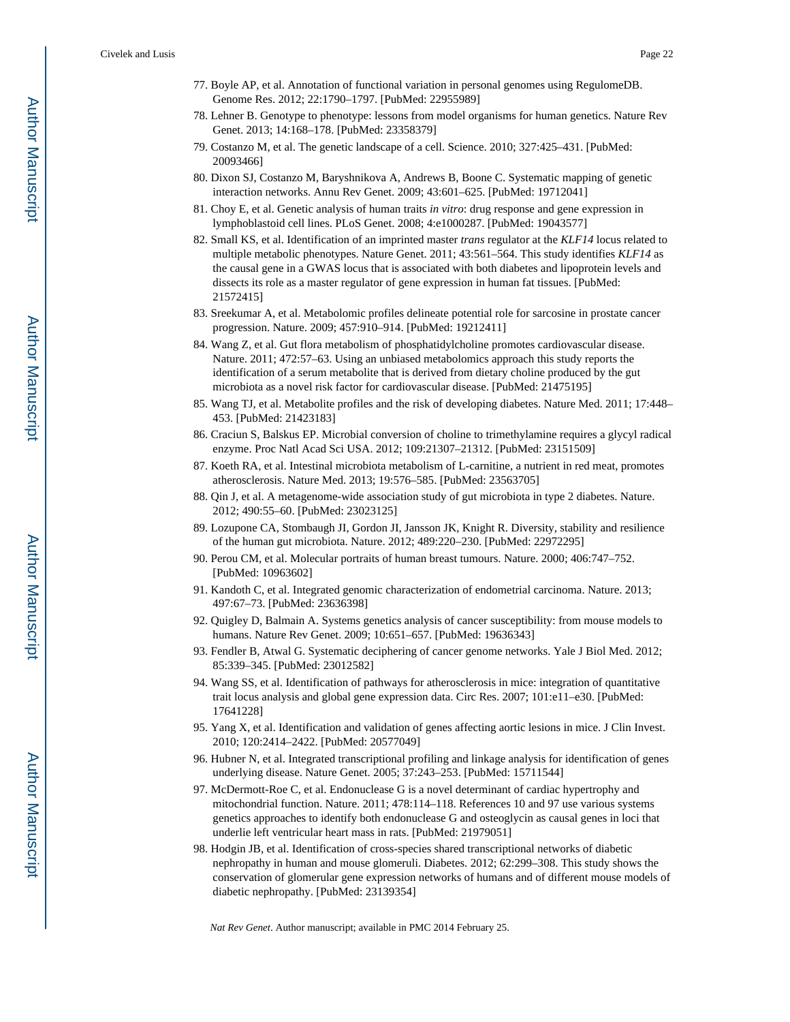- 77. Boyle AP, et al. Annotation of functional variation in personal genomes using RegulomeDB. Genome Res. 2012; 22:1790–1797. [PubMed: 22955989]
- 78. Lehner B. Genotype to phenotype: lessons from model organisms for human genetics. Nature Rev Genet. 2013; 14:168–178. [PubMed: 23358379]
- 79. Costanzo M, et al. The genetic landscape of a cell. Science. 2010; 327:425–431. [PubMed: 20093466]
- 80. Dixon SJ, Costanzo M, Baryshnikova A, Andrews B, Boone C. Systematic mapping of genetic interaction networks. Annu Rev Genet. 2009; 43:601–625. [PubMed: 19712041]
- 81. Choy E, et al. Genetic analysis of human traits *in vitro*: drug response and gene expression in lymphoblastoid cell lines. PLoS Genet. 2008; 4:e1000287. [PubMed: 19043577]
- 82. Small KS, et al. Identification of an imprinted master *trans* regulator at the *KLF14* locus related to multiple metabolic phenotypes. Nature Genet. 2011; 43:561–564. This study identifies *KLF14* as the causal gene in a GWAS locus that is associated with both diabetes and lipoprotein levels and dissects its role as a master regulator of gene expression in human fat tissues. [PubMed: 21572415]
- 83. Sreekumar A, et al. Metabolomic profiles delineate potential role for sarcosine in prostate cancer progression. Nature. 2009; 457:910–914. [PubMed: 19212411]
- 84. Wang Z, et al. Gut flora metabolism of phosphatidylcholine promotes cardiovascular disease. Nature. 2011; 472:57–63. Using an unbiased metabolomics approach this study reports the identification of a serum metabolite that is derived from dietary choline produced by the gut microbiota as a novel risk factor for cardiovascular disease. [PubMed: 21475195]
- 85. Wang TJ, et al. Metabolite profiles and the risk of developing diabetes. Nature Med. 2011; 17:448– 453. [PubMed: 21423183]
- 86. Craciun S, Balskus EP. Microbial conversion of choline to trimethylamine requires a glycyl radical enzyme. Proc Natl Acad Sci USA. 2012; 109:21307–21312. [PubMed: 23151509]
- 87. Koeth RA, et al. Intestinal microbiota metabolism of L-carnitine, a nutrient in red meat, promotes atherosclerosis. Nature Med. 2013; 19:576–585. [PubMed: 23563705]
- 88. Qin J, et al. A metagenome-wide association study of gut microbiota in type 2 diabetes. Nature. 2012; 490:55–60. [PubMed: 23023125]
- 89. Lozupone CA, Stombaugh JI, Gordon JI, Jansson JK, Knight R. Diversity, stability and resilience of the human gut microbiota. Nature. 2012; 489:220–230. [PubMed: 22972295]
- 90. Perou CM, et al. Molecular portraits of human breast tumours. Nature. 2000; 406:747–752. [PubMed: 10963602]
- 91. Kandoth C, et al. Integrated genomic characterization of endometrial carcinoma. Nature. 2013; 497:67–73. [PubMed: 23636398]
- 92. Quigley D, Balmain A. Systems genetics analysis of cancer susceptibility: from mouse models to humans. Nature Rev Genet. 2009; 10:651–657. [PubMed: 19636343]
- 93. Fendler B, Atwal G. Systematic deciphering of cancer genome networks. Yale J Biol Med. 2012; 85:339–345. [PubMed: 23012582]
- 94. Wang SS, et al. Identification of pathways for atherosclerosis in mice: integration of quantitative trait locus analysis and global gene expression data. Circ Res. 2007; 101:e11–e30. [PubMed: 17641228]
- 95. Yang X, et al. Identification and validation of genes affecting aortic lesions in mice. J Clin Invest. 2010; 120:2414–2422. [PubMed: 20577049]
- 96. Hubner N, et al. Integrated transcriptional profiling and linkage analysis for identification of genes underlying disease. Nature Genet. 2005; 37:243–253. [PubMed: 15711544]
- 97. McDermott-Roe C, et al. Endonuclease G is a novel determinant of cardiac hypertrophy and mitochondrial function. Nature. 2011; 478:114–118. References 10 and 97 use various systems genetics approaches to identify both endonuclease G and osteoglycin as causal genes in loci that underlie left ventricular heart mass in rats. [PubMed: 21979051]
- 98. Hodgin JB, et al. Identification of cross-species shared transcriptional networks of diabetic nephropathy in human and mouse glomeruli. Diabetes. 2012; 62:299–308. This study shows the conservation of glomerular gene expression networks of humans and of different mouse models of diabetic nephropathy. [PubMed: 23139354]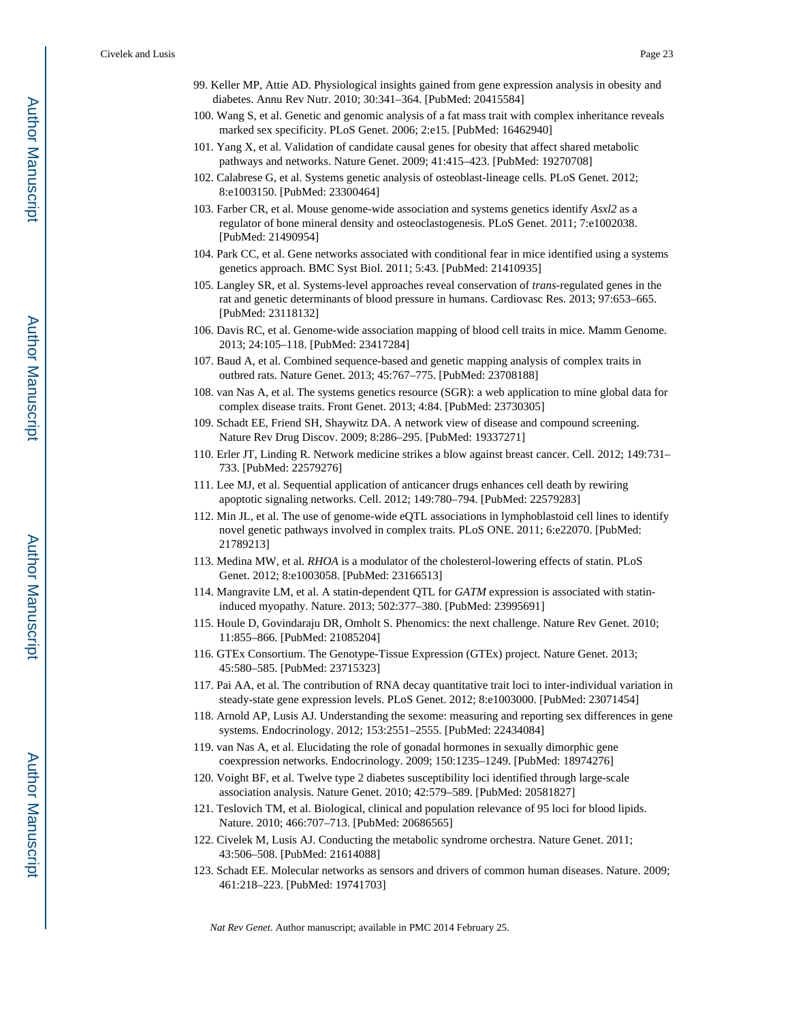- 99. Keller MP, Attie AD. Physiological insights gained from gene expression analysis in obesity and diabetes. Annu Rev Nutr. 2010; 30:341–364. [PubMed: 20415584]
- 100. Wang S, et al. Genetic and genomic analysis of a fat mass trait with complex inheritance reveals marked sex specificity. PLoS Genet. 2006; 2:e15. [PubMed: 16462940]
- 101. Yang X, et al. Validation of candidate causal genes for obesity that affect shared metabolic pathways and networks. Nature Genet. 2009; 41:415–423. [PubMed: 19270708]
- 102. Calabrese G, et al. Systems genetic analysis of osteoblast-lineage cells. PLoS Genet. 2012; 8:e1003150. [PubMed: 23300464]
- 103. Farber CR, et al. Mouse genome-wide association and systems genetics identify *Asxl2* as a regulator of bone mineral density and osteoclastogenesis. PLoS Genet. 2011; 7:e1002038. [PubMed: 21490954]
- 104. Park CC, et al. Gene networks associated with conditional fear in mice identified using a systems genetics approach. BMC Syst Biol. 2011; 5:43. [PubMed: 21410935]
- 105. Langley SR, et al. Systems-level approaches reveal conservation of *trans*-regulated genes in the rat and genetic determinants of blood pressure in humans. Cardiovasc Res. 2013; 97:653–665. [PubMed: 23118132]
- 106. Davis RC, et al. Genome-wide association mapping of blood cell traits in mice. Mamm Genome. 2013; 24:105–118. [PubMed: 23417284]
- 107. Baud A, et al. Combined sequence-based and genetic mapping analysis of complex traits in outbred rats. Nature Genet. 2013; 45:767–775. [PubMed: 23708188]
- 108. van Nas A, et al. The systems genetics resource (SGR): a web application to mine global data for complex disease traits. Front Genet. 2013; 4:84. [PubMed: 23730305]
- 109. Schadt EE, Friend SH, Shaywitz DA. A network view of disease and compound screening. Nature Rev Drug Discov. 2009; 8:286–295. [PubMed: 19337271]
- 110. Erler JT, Linding R. Network medicine strikes a blow against breast cancer. Cell. 2012; 149:731– 733. [PubMed: 22579276]
- 111. Lee MJ, et al. Sequential application of anticancer drugs enhances cell death by rewiring apoptotic signaling networks. Cell. 2012; 149:780–794. [PubMed: 22579283]
- 112. Min JL, et al. The use of genome-wide eQTL associations in lymphoblastoid cell lines to identify novel genetic pathways involved in complex traits. PLoS ONE. 2011; 6:e22070. [PubMed: 21789213]
- 113. Medina MW, et al. *RHOA* is a modulator of the cholesterol-lowering effects of statin. PLoS Genet. 2012; 8:e1003058. [PubMed: 23166513]
- 114. Mangravite LM, et al. A statin-dependent QTL for *GATM* expression is associated with statininduced myopathy. Nature. 2013; 502:377–380. [PubMed: 23995691]
- 115. Houle D, Govindaraju DR, Omholt S. Phenomics: the next challenge. Nature Rev Genet. 2010; 11:855–866. [PubMed: 21085204]
- 116. GTEx Consortium. The Genotype-Tissue Expression (GTEx) project. Nature Genet. 2013; 45:580–585. [PubMed: 23715323]
- 117. Pai AA, et al. The contribution of RNA decay quantitative trait loci to inter-individual variation in steady-state gene expression levels. PLoS Genet. 2012; 8:e1003000. [PubMed: 23071454]
- 118. Arnold AP, Lusis AJ. Understanding the sexome: measuring and reporting sex differences in gene systems. Endocrinology. 2012; 153:2551–2555. [PubMed: 22434084]
- 119. van Nas A, et al. Elucidating the role of gonadal hormones in sexually dimorphic gene coexpression networks. Endocrinology. 2009; 150:1235–1249. [PubMed: 18974276]
- 120. Voight BF, et al. Twelve type 2 diabetes susceptibility loci identified through large-scale association analysis. Nature Genet. 2010; 42:579–589. [PubMed: 20581827]
- 121. Teslovich TM, et al. Biological, clinical and population relevance of 95 loci for blood lipids. Nature. 2010; 466:707–713. [PubMed: 20686565]
- 122. Civelek M, Lusis AJ. Conducting the metabolic syndrome orchestra. Nature Genet. 2011; 43:506–508. [PubMed: 21614088]
- 123. Schadt EE. Molecular networks as sensors and drivers of common human diseases. Nature. 2009; 461:218–223. [PubMed: 19741703]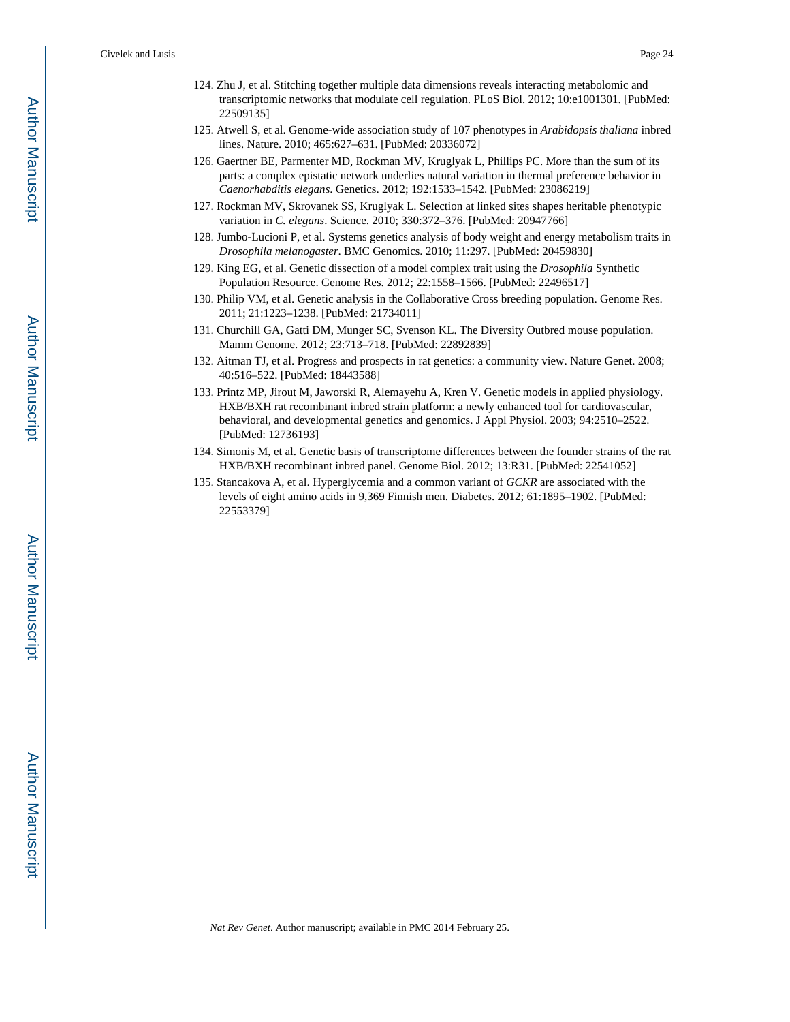- 124. Zhu J, et al. Stitching together multiple data dimensions reveals interacting metabolomic and transcriptomic networks that modulate cell regulation. PLoS Biol. 2012; 10:e1001301. [PubMed: 22509135]
- 125. Atwell S, et al. Genome-wide association study of 107 phenotypes in *Arabidopsis thaliana* inbred lines. Nature. 2010; 465:627–631. [PubMed: 20336072]
- 126. Gaertner BE, Parmenter MD, Rockman MV, Kruglyak L, Phillips PC. More than the sum of its parts: a complex epistatic network underlies natural variation in thermal preference behavior in *Caenorhabditis elegans*. Genetics. 2012; 192:1533–1542. [PubMed: 23086219]
- 127. Rockman MV, Skrovanek SS, Kruglyak L. Selection at linked sites shapes heritable phenotypic variation in *C. elegans*. Science. 2010; 330:372–376. [PubMed: 20947766]
- 128. Jumbo-Lucioni P, et al. Systems genetics analysis of body weight and energy metabolism traits in *Drosophila melanogaster*. BMC Genomics. 2010; 11:297. [PubMed: 20459830]
- 129. King EG, et al. Genetic dissection of a model complex trait using the *Drosophila* Synthetic Population Resource. Genome Res. 2012; 22:1558–1566. [PubMed: 22496517]
- 130. Philip VM, et al. Genetic analysis in the Collaborative Cross breeding population. Genome Res. 2011; 21:1223–1238. [PubMed: 21734011]
- 131. Churchill GA, Gatti DM, Munger SC, Svenson KL. The Diversity Outbred mouse population. Mamm Genome. 2012; 23:713–718. [PubMed: 22892839]
- 132. Aitman TJ, et al. Progress and prospects in rat genetics: a community view. Nature Genet. 2008; 40:516–522. [PubMed: 18443588]
- 133. Printz MP, Jirout M, Jaworski R, Alemayehu A, Kren V. Genetic models in applied physiology. HXB/BXH rat recombinant inbred strain platform: a newly enhanced tool for cardiovascular, behavioral, and developmental genetics and genomics. J Appl Physiol. 2003; 94:2510–2522. [PubMed: 12736193]
- 134. Simonis M, et al. Genetic basis of transcriptome differences between the founder strains of the rat HXB/BXH recombinant inbred panel. Genome Biol. 2012; 13:R31. [PubMed: 22541052]
- 135. Stancakova A, et al. Hyperglycemia and a common variant of *GCKR* are associated with the levels of eight amino acids in 9,369 Finnish men. Diabetes. 2012; 61:1895–1902. [PubMed: 22553379]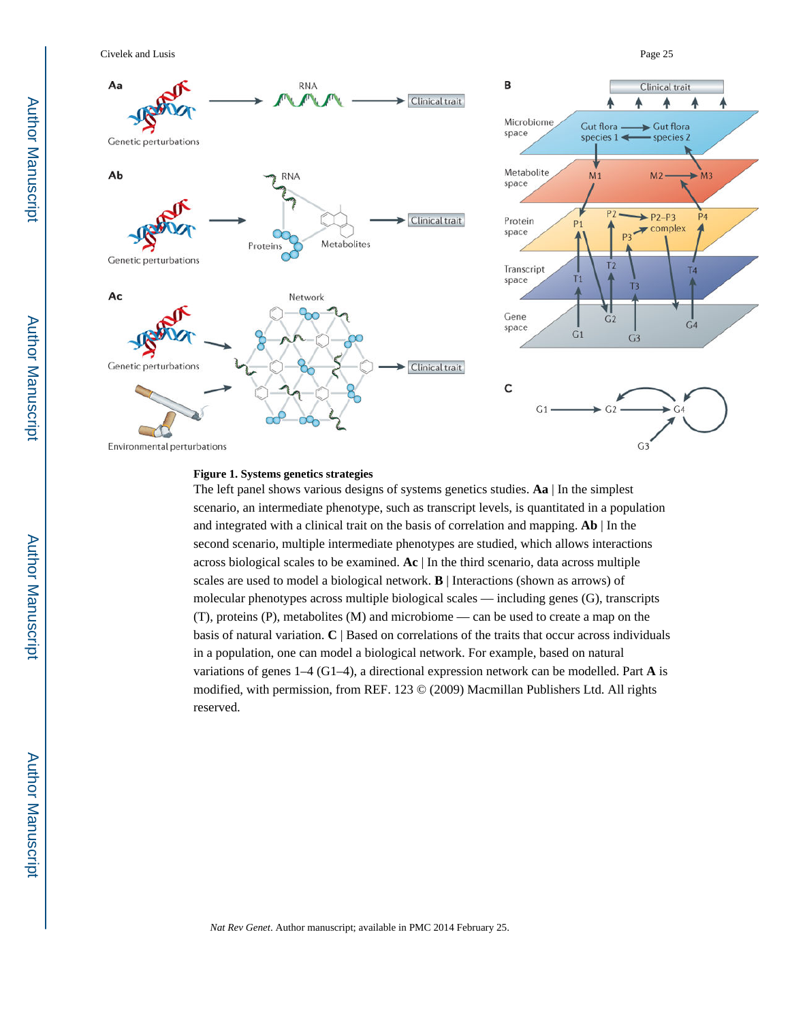



Environmental perturbations

#### **Figure 1. Systems genetics strategies**

The left panel shows various designs of systems genetics studies. **Aa** | In the simplest scenario, an intermediate phenotype, such as transcript levels, is quantitated in a population and integrated with a clinical trait on the basis of correlation and mapping. **Ab** | In the second scenario, multiple intermediate phenotypes are studied, which allows interactions across biological scales to be examined. **Ac** | In the third scenario, data across multiple scales are used to model a biological network. **B** | Interactions (shown as arrows) of molecular phenotypes across multiple biological scales — including genes (G), transcripts (T), proteins (P), metabolites (M) and microbiome — can be used to create a map on the basis of natural variation. **C** | Based on correlations of the traits that occur across individuals in a population, one can model a biological network. For example, based on natural variations of genes 1–4 (G1–4), a directional expression network can be modelled. Part **A** is modified, with permission, from REF. 123 © (2009) Macmillan Publishers Ltd. All rights reserved.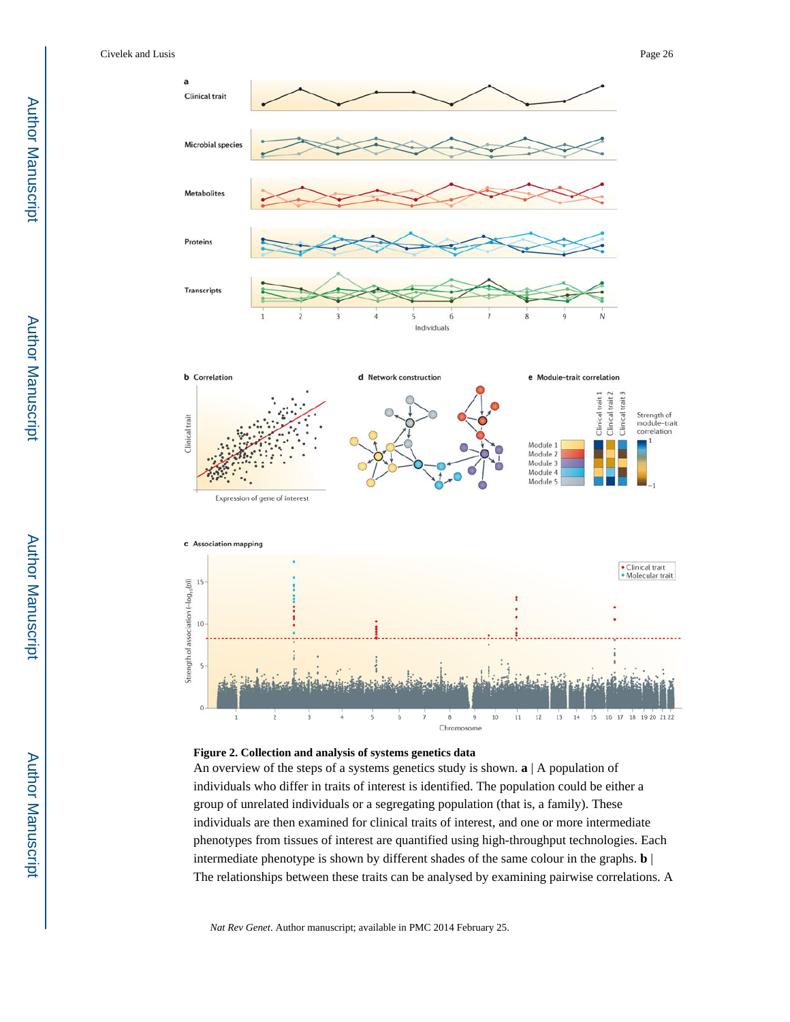

#### **Figure 2. Collection and analysis of systems genetics data**

An overview of the steps of a systems genetics study is shown. **a** | A population of individuals who differ in traits of interest is identified. The population could be either a group of unrelated individuals or a segregating population (that is, a family). These individuals are then examined for clinical traits of interest, and one or more intermediate phenotypes from tissues of interest are quantified using high-throughput technologies. Each intermediate phenotype is shown by different shades of the same colour in the graphs. **b** | The relationships between these traits can be analysed by examining pairwise correlations. A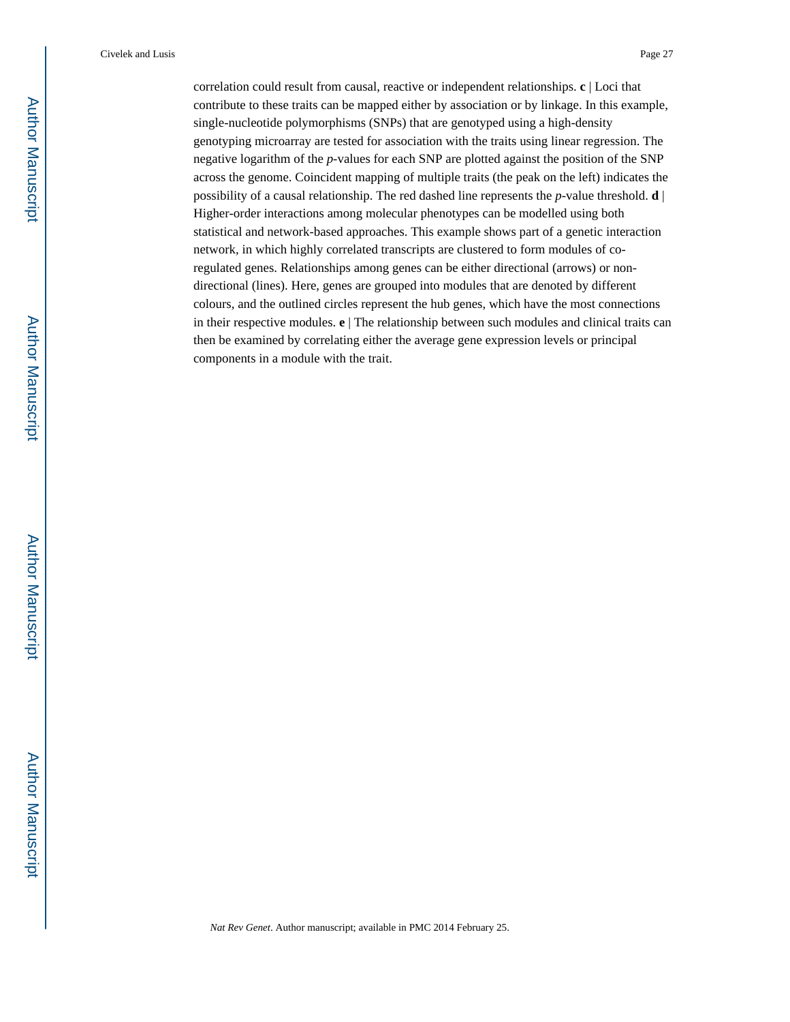correlation could result from causal, reactive or independent relationships. **c** | Loci that contribute to these traits can be mapped either by association or by linkage. In this example, single-nucleotide polymorphisms (SNPs) that are genotyped using a high-density genotyping microarray are tested for association with the traits using linear regression. The negative logarithm of the *p*-values for each SNP are plotted against the position of the SNP across the genome. Coincident mapping of multiple traits (the peak on the left) indicates the possibility of a causal relationship. The red dashed line represents the *p*-value threshold. **d** | Higher-order interactions among molecular phenotypes can be modelled using both statistical and network-based approaches. This example shows part of a genetic interaction network, in which highly correlated transcripts are clustered to form modules of coregulated genes. Relationships among genes can be either directional (arrows) or nondirectional (lines). Here, genes are grouped into modules that are denoted by different colours, and the outlined circles represent the hub genes, which have the most connections in their respective modules. **e** | The relationship between such modules and clinical traits can then be examined by correlating either the average gene expression levels or principal components in a module with the trait.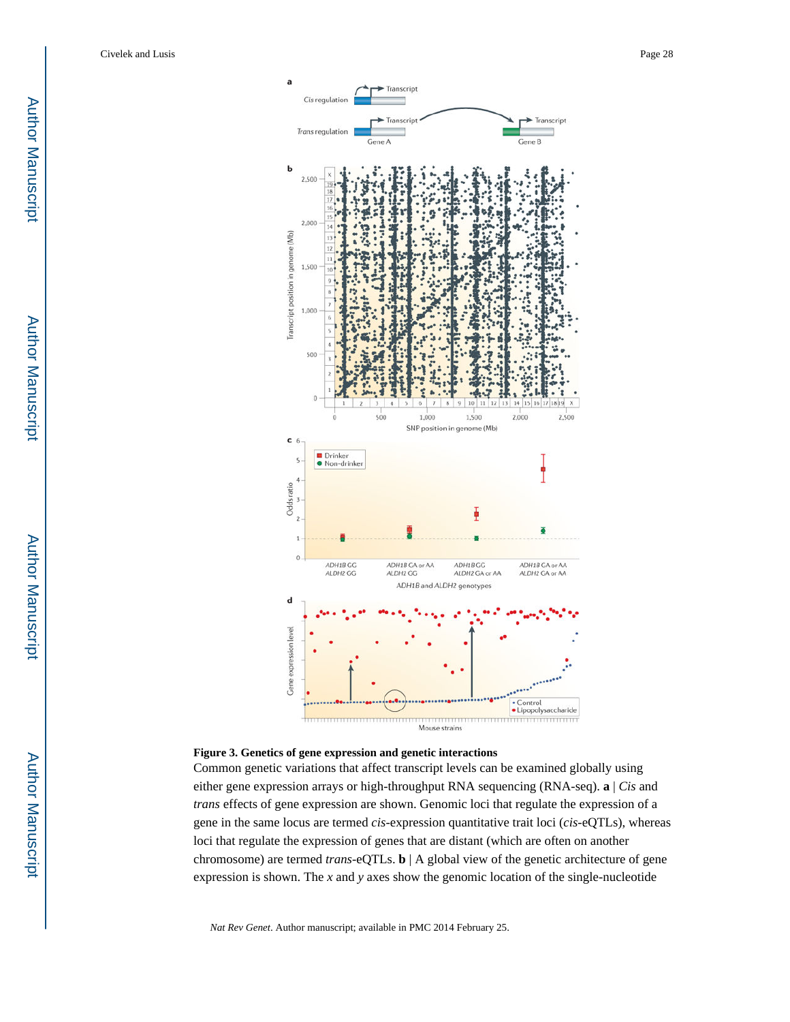**Author Manuscript** Author Manuscript



### **Figure 3. Genetics of gene expression and genetic interactions**

Common genetic variations that affect transcript levels can be examined globally using either gene expression arrays or high-throughput RNA sequencing (RNA-seq). **a** | *Cis* and *trans* effects of gene expression are shown. Genomic loci that regulate the expression of a gene in the same locus are termed *cis*-expression quantitative trait loci (*cis*-eQTLs), whereas loci that regulate the expression of genes that are distant (which are often on another chromosome) are termed *trans*-eQTLs. **b** | A global view of the genetic architecture of gene expression is shown. The *x* and *y* axes show the genomic location of the single-nucleotide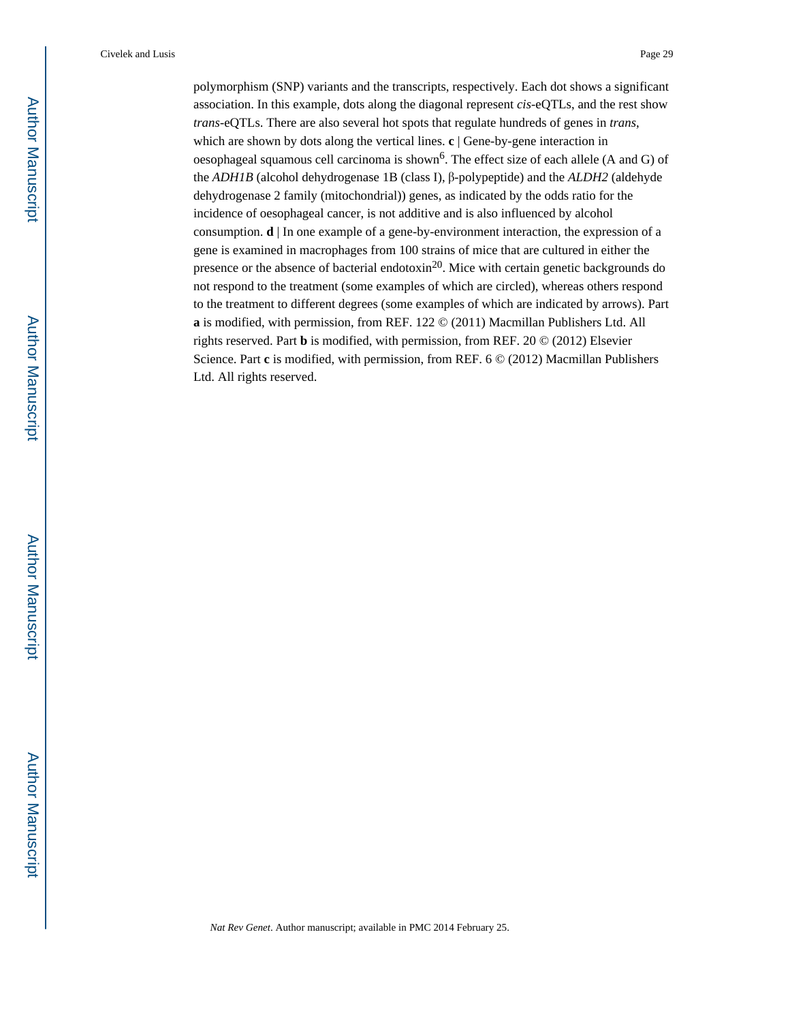polymorphism (SNP) variants and the transcripts, respectively. Each dot shows a significant association. In this example, dots along the diagonal represent *cis*-eQTLs, and the rest show *trans*-eQTLs. There are also several hot spots that regulate hundreds of genes in *trans*, which are shown by dots along the vertical lines. **c** | Gene-by-gene interaction in oesophageal squamous cell carcinoma is shown<sup>6</sup>. The effect size of each allele (A and G) of the *ADH1B* (alcohol dehydrogenase 1B (class I), β-polypeptide) and the *ALDH2* (aldehyde dehydrogenase 2 family (mitochondrial)) genes, as indicated by the odds ratio for the incidence of oesophageal cancer, is not additive and is also influenced by alcohol consumption. **d** | In one example of a gene-by-environment interaction, the expression of a gene is examined in macrophages from 100 strains of mice that are cultured in either the presence or the absence of bacterial endotoxin $^{20}$ . Mice with certain genetic backgrounds do not respond to the treatment (some examples of which are circled), whereas others respond to the treatment to different degrees (some examples of which are indicated by arrows). Part **a** is modified, with permission, from REF. 122 © (2011) Macmillan Publishers Ltd. All rights reserved. Part **b** is modified, with permission, from REF. 20 © (2012) Elsevier Science. Part **c** is modified, with permission, from REF. 6 © (2012) Macmillan Publishers Ltd. All rights reserved.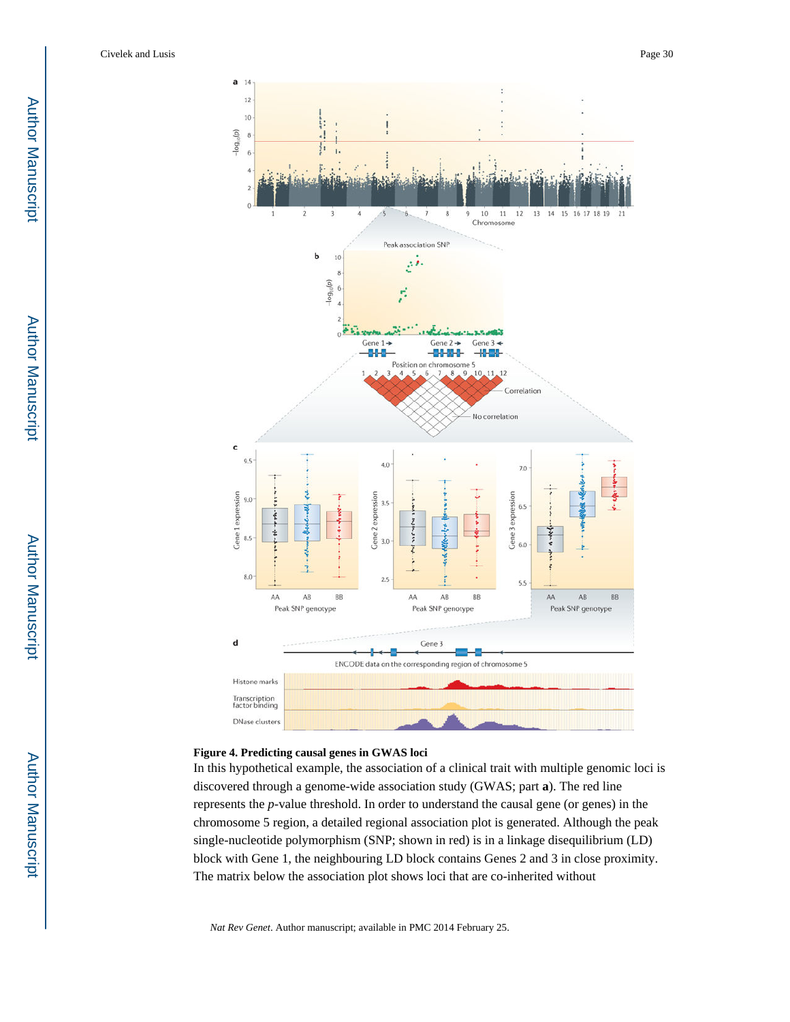

#### **Figure 4. Predicting causal genes in GWAS loci**

In this hypothetical example, the association of a clinical trait with multiple genomic loci is discovered through a genome-wide association study (GWAS; part **a**). The red line represents the *p*-value threshold. In order to understand the causal gene (or genes) in the chromosome 5 region, a detailed regional association plot is generated. Although the peak single-nucleotide polymorphism (SNP; shown in red) is in a linkage disequilibrium (LD) block with Gene 1, the neighbouring LD block contains Genes 2 and 3 in close proximity. The matrix below the association plot shows loci that are co-inherited without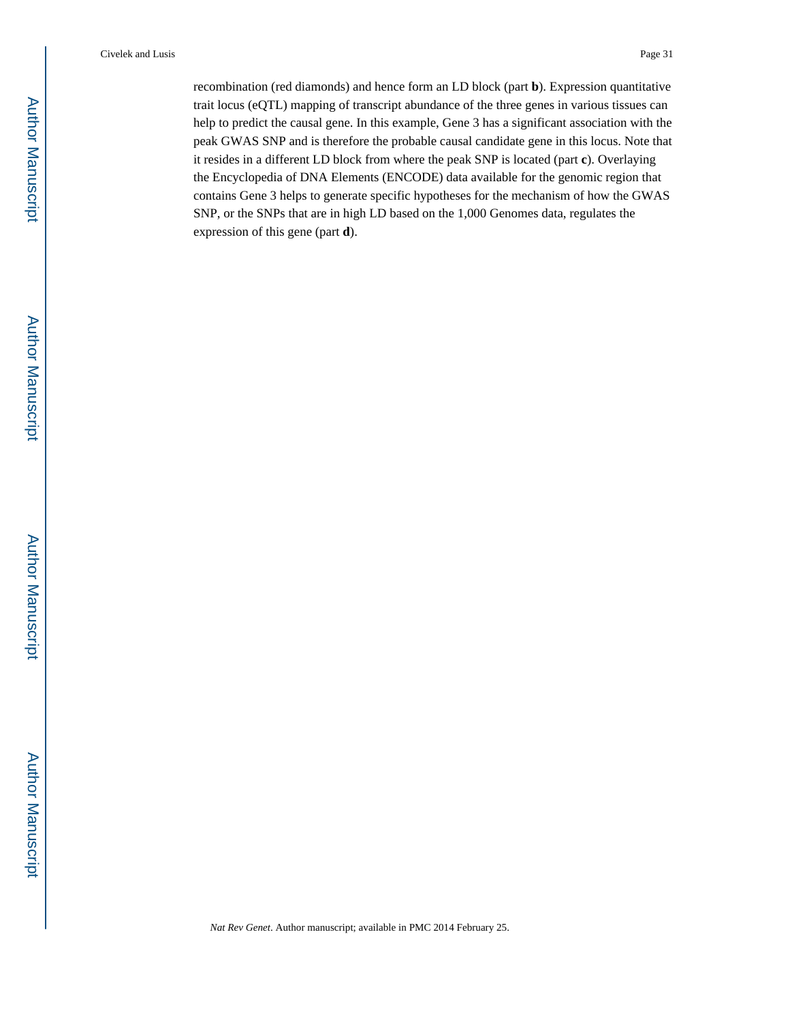recombination (red diamonds) and hence form an LD block (part **b**). Expression quantitative trait locus (eQTL) mapping of transcript abundance of the three genes in various tissues can help to predict the causal gene. In this example, Gene 3 has a significant association with the peak GWAS SNP and is therefore the probable causal candidate gene in this locus. Note that it resides in a different LD block from where the peak SNP is located (part **c**). Overlaying the Encyclopedia of DNA Elements (ENCODE) data available for the genomic region that contains Gene 3 helps to generate specific hypotheses for the mechanism of how the GWAS SNP, or the SNPs that are in high LD based on the 1,000 Genomes data, regulates the expression of this gene (part **d**).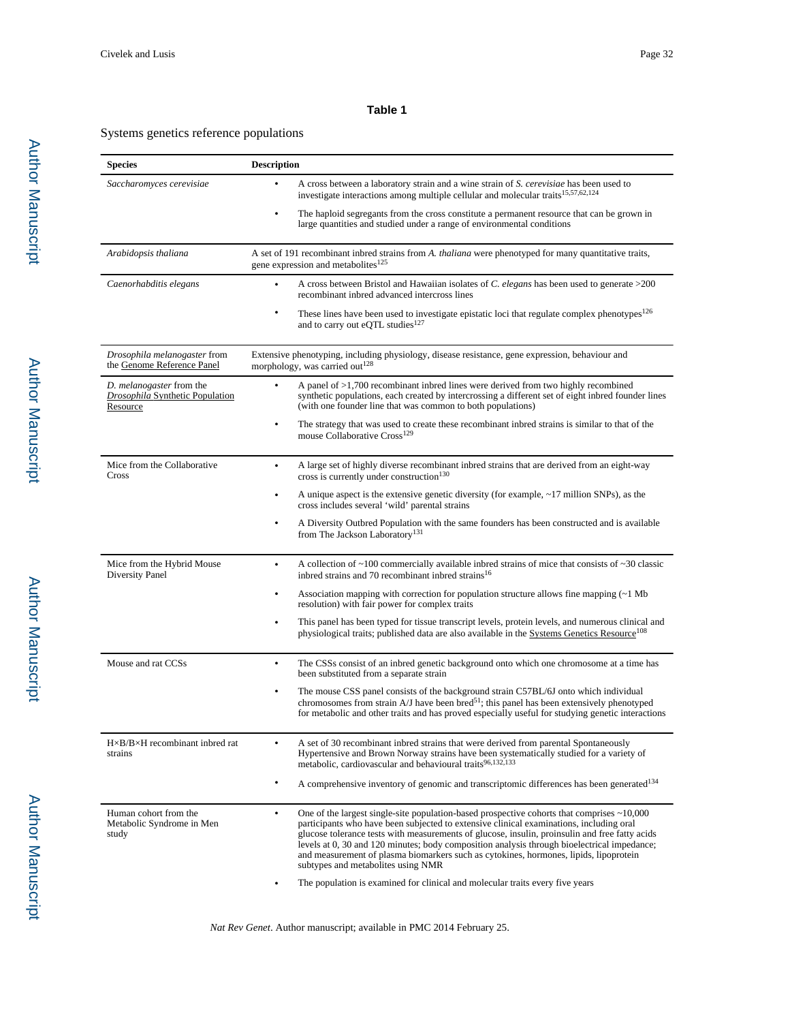#### **Table 1**

# Systems genetics reference populations

| <b>Species</b>                                                                 | <b>Description</b>                                                                                                                                                                                                                                                                                                                                                                                                                                                                                                                       |
|--------------------------------------------------------------------------------|------------------------------------------------------------------------------------------------------------------------------------------------------------------------------------------------------------------------------------------------------------------------------------------------------------------------------------------------------------------------------------------------------------------------------------------------------------------------------------------------------------------------------------------|
| Saccharomyces cerevisiae                                                       | $\bullet$<br>A cross between a laboratory strain and a wine strain of S. cerevisiae has been used to<br>investigate interactions among multiple cellular and molecular traits <sup>15,57,62,124</sup>                                                                                                                                                                                                                                                                                                                                    |
|                                                                                | The haploid segregants from the cross constitute a permanent resource that can be grown in<br>$\bullet$<br>large quantities and studied under a range of environmental conditions                                                                                                                                                                                                                                                                                                                                                        |
| Arabidopsis thaliana                                                           | A set of 191 recombinant inbred strains from A. <i>thaliana</i> were phenotyped for many quantitative traits,<br>gene expression and metabolites <sup>125</sup>                                                                                                                                                                                                                                                                                                                                                                          |
| Caenorhabditis elegans                                                         | $\bullet$<br>A cross between Bristol and Hawaiian isolates of C. elegans has been used to generate >200<br>recombinant inbred advanced intercross lines                                                                                                                                                                                                                                                                                                                                                                                  |
|                                                                                | $\bullet$<br>These lines have been used to investigate epistatic loci that regulate complex phenotypes <sup>126</sup><br>and to carry out eQTL studies <sup>127</sup>                                                                                                                                                                                                                                                                                                                                                                    |
| Drosophila melanogaster from<br>the Genome Reference Panel                     | Extensive phenotyping, including physiology, disease resistance, gene expression, behaviour and<br>morphology, was carried out <sup>128</sup>                                                                                                                                                                                                                                                                                                                                                                                            |
| D. <i>melanogaster</i> from the<br>Drosophila Synthetic Population<br>Resource | $\bullet$<br>A panel of $>1,700$ recombinant inbred lines were derived from two highly recombined<br>synthetic populations, each created by intercrossing a different set of eight inbred founder lines<br>(with one founder line that was common to both populations)                                                                                                                                                                                                                                                                   |
|                                                                                | The strategy that was used to create these recombinant inbred strains is similar to that of the<br>$\bullet$<br>mouse Collaborative Cross <sup>129</sup>                                                                                                                                                                                                                                                                                                                                                                                 |
| Mice from the Collaborative<br>Cross                                           | A large set of highly diverse recombinant inbred strains that are derived from an eight-way<br>$\bullet$<br>cross is currently under construction <sup>130</sup>                                                                                                                                                                                                                                                                                                                                                                         |
|                                                                                | A unique aspect is the extensive genetic diversity (for example, $\sim$ 17 million SNPs), as the<br>$\bullet$<br>cross includes several 'wild' parental strains                                                                                                                                                                                                                                                                                                                                                                          |
|                                                                                | A Diversity Outbred Population with the same founders has been constructed and is available<br>$\bullet$<br>from The Jackson Laboratory <sup>131</sup>                                                                                                                                                                                                                                                                                                                                                                                   |
| Mice from the Hybrid Mouse<br>Diversity Panel                                  | A collection of $\sim$ 100 commercially available inbred strains of mice that consists of $\sim$ 30 classic<br>$\bullet$<br>inbred strains and 70 recombinant inbred strains <sup>16</sup>                                                                                                                                                                                                                                                                                                                                               |
|                                                                                | Association mapping with correction for population structure allows fine mapping $(21 \text{ Mb})$<br>$\bullet$<br>resolution) with fair power for complex traits                                                                                                                                                                                                                                                                                                                                                                        |
|                                                                                | This panel has been typed for tissue transcript levels, protein levels, and numerous clinical and<br>$\bullet$<br>physiological traits; published data are also available in the Systems Genetics Resource <sup>108</sup>                                                                                                                                                                                                                                                                                                                |
| Mouse and rat CCSs                                                             | The CSSs consist of an inbred genetic background onto which one chromosome at a time has<br>$\bullet$<br>been substituted from a separate strain                                                                                                                                                                                                                                                                                                                                                                                         |
|                                                                                | The mouse CSS panel consists of the background strain C57BL/6J onto which individual<br>$\bullet$<br>chromosomes from strain A/J have been bred <sup>51</sup> ; this panel has been extensively phenotyped<br>for metabolic and other traits and has proved especially useful for studying genetic interactions                                                                                                                                                                                                                          |
| $H \times B/B \times H$ recombinant inbred rat<br>strains                      | A set of 30 recombinant inbred strains that were derived from parental Spontaneously<br>$\bullet$<br>Hypertensive and Brown Norway strains have been systematically studied for a variety of<br>metabolic, cardiovascular and behavioural traits <sup>96,132,133</sup>                                                                                                                                                                                                                                                                   |
|                                                                                | $\bullet$<br>A comprehensive inventory of genomic and transcriptomic differences has been generated <sup>134</sup>                                                                                                                                                                                                                                                                                                                                                                                                                       |
| Human cohort from the<br>Metabolic Syndrome in Men<br>study                    | One of the largest single-site population-based prospective cohorts that comprises $\sim$ 10,000<br>$\bullet$<br>participants who have been subjected to extensive clinical examinations, including oral<br>glucose tolerance tests with measurements of glucose, insulin, proinsulin and free fatty acids<br>levels at 0, 30 and 120 minutes; body composition analysis through bioelectrical impedance;<br>and measurement of plasma biomarkers such as cytokines, hormones, lipids, lipoprotein<br>subtypes and metabolites using NMR |
|                                                                                | The population is examined for clinical and molecular traits every five years<br>$\bullet$                                                                                                                                                                                                                                                                                                                                                                                                                                               |